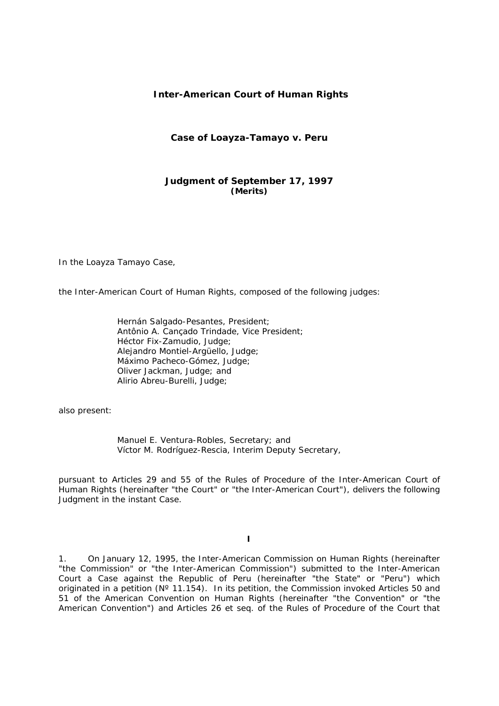# **Inter-American Court of Human Rights**

## **Case of Loayza-Tamayo** *v.* **Peru**

# **Judgment of September 17, 1997**  *(Merits)*

In the Loayza Tamayo Case,

the Inter-American Court of Human Rights, composed of the following judges:

Hernán Salgado-Pesantes, President; Antônio A. Cançado Trindade, Vice President; Héctor Fix-Zamudio, Judge; Alejandro Montiel-Argüello, Judge; Máximo Pacheco-Gómez, Judge; Oliver Jackman, Judge; and Alirio Abreu-Burelli, Judge;

also present:

Manuel E. Ventura-Robles, Secretary; and Víctor M. Rodríguez-Rescia, Interim Deputy Secretary,

pursuant to Articles 29 and 55 of the Rules of Procedure of the Inter-American Court of Human Rights (hereinafter "the Court" or "the Inter-American Court"), delivers the following Judgment in the instant Case.

**I** 

1. On January 12, 1995, the Inter-American Commission on Human Rights (hereinafter "the Commission" or "the Inter-American Commission") submitted to the Inter-American Court a Case against the Republic of Peru (hereinafter "the State" or "Peru") which originated in a petition (N° 11.154). In its petition, the Commission invoked Articles 50 and 51 of the American Convention on Human Rights (hereinafter "the Convention" or "the American Convention") and Articles 26 *et seq.* of the Rules of Procedure of the Court that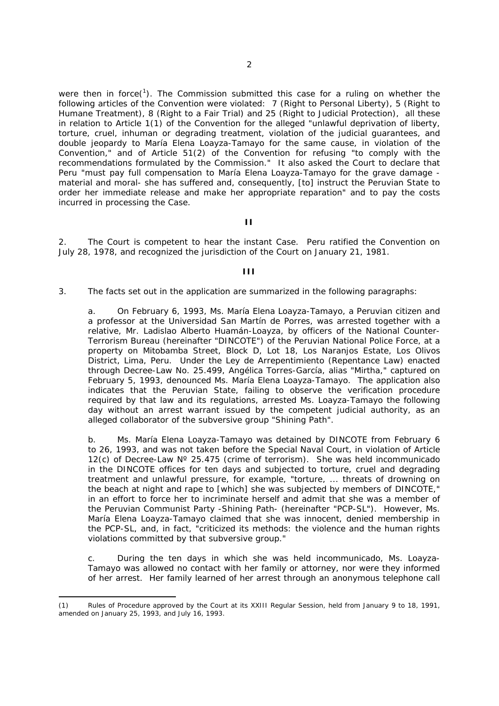were then in force( $1$ ). The Commission submitted this case for a ruling on whether the following articles of the Convention were violated: 7 (Right to Personal Liberty), 5 (Right to Humane Treatment), 8 (Right to a Fair Trial) and 25 (Right to Judicial Protection), all these in relation to Article 1(1) of the Convention for the alleged "*unlawful deprivation of liberty, torture, cruel, inhuman or degrading treatment, violation of the judicial guarantees, and double jeopardy to María Elena Loayza-Tamayo for the same cause, in violation of the Convention,*" and of Article 51(2) of the Convention for refusing "*to comply with the recommendations formulated by the Commission*." It also asked the Court to declare that Peru "*must pay full compensation to María Elena Loayza-Tamayo for the grave damage material and moral- she has suffered and, consequently,* [to] *instruct the Peruvian State to order her immediate release and make her appropriate reparation*" and to pay the costs incurred in processing the Case.

### **II**

2. The Court is competent to hear the instant Case. Peru ratified the Convention on July 28, 1978, and recognized the jurisdiction of the Court on January 21, 1981.

## **III**

3. The facts set out in the application are summarized in the following paragraphs:

a. On February 6, 1993, Ms. María Elena Loayza-Tamayo, a Peruvian citizen and a professor at the Universidad San Martín de Porres, was arrested together with a relative, Mr. Ladislao Alberto Huamán-Loayza, by officers of the National Counter-Terrorism Bureau (hereinafter "DINCOTE") of the Peruvian National Police Force, at a property on Mitobamba Street, Block D, Lot 18, Los Naranjos Estate, Los Olivos District, Lima, Peru. Under the *Ley de Arrepentimiento* (Repentance Law) enacted through Decree-Law No. 25.499, Angélica Torres-García, alias "Mirtha," captured on February 5, 1993, denounced Ms. María Elena Loayza-Tamayo. The application also indicates that the Peruvian State, failing to observe the verification procedure required by that law and its regulations, arrested Ms. Loayza-Tamayo the following day without an arrest warrant issued by the competent judicial authority, as an alleged collaborator of the subversive group "Shining Path".

b. Ms. María Elena Loayza-Tamayo was detained by DINCOTE from February 6 to 26, 1993, and was not taken before the Special Naval Court, in violation of Article 12(c) of Decree-Law  $N^{\circ}$  25.475 (crime of terrorism). She was held incommunicado in the DINCOTE offices for ten days and subjected to torture, cruel and degrading treatment and unlawful pressure, for example, "*torture, ... threats of drowning on the beach at night and rape to* [which] *she was subjected by members of DINCOTE,*" in an effort to force her to incriminate herself and admit that she was a member of the Peruvian Communist Party -Shining Path- (hereinafter "PCP-SL"). However, Ms. María Elena Loayza-Tamayo claimed that she was innocent, denied membership in the PCP-SL, and, in fact, "*criticized its methods: the violence and the human rights violations committed by that subversive group*."

c. During the ten days in which she was held incommunicado, Ms. Loayza-Tamayo was allowed no contact with her family or attorney, nor were they informed of her arrest. Her family learned of her arrest through an anonymous telephone call

 $\overline{a}$ 

<sup>(1)</sup> Rules of Procedure approved by the Court at its XXIII Regular Session, held from January 9 to 18, 1991, amended on January 25, 1993, and July 16, 1993.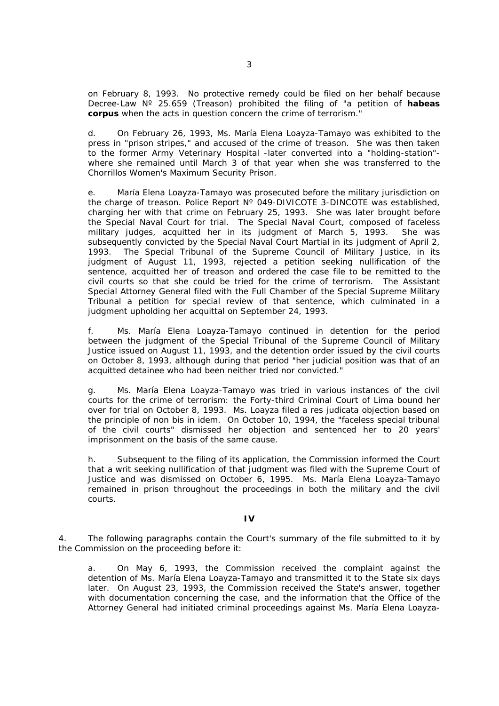on February 8, 1993. No protective remedy could be filed on her behalf because Decree-Law Nº 25.659 (Treason) prohibited the filing of "*a petition of habeas corpus when the acts in question concern the crime of terrorism.*"

d. On February 26, 1993, Ms. María Elena Loayza-Tamayo was exhibited to the press in "prison stripes," and accused of the crime of treason. She was then taken to the former Army Veterinary Hospital -later converted into a "holding-station" where she remained until March 3 of that year when she was transferred to the Chorrillos Women's Maximum Security Prison.

e. María Elena Loayza-Tamayo was prosecuted before the military jurisdiction on the charge of treason. Police Report Nº 049-DIVICOTE 3-DINCOTE was established, charging her with that crime on February 25, 1993. She was later brought before the Special Naval Court for trial. The Special Naval Court, composed of faceless military judges, acquitted her in its judgment of March 5, 1993. She was subsequently convicted by the Special Naval Court Martial in its judgment of April 2, 1993. The Special Tribunal of the Supreme Council of Military Justice, in its judgment of August 11, 1993, rejected a petition seeking nullification of the sentence, acquitted her of treason and ordered the case file to be remitted to the civil courts so that she could be tried for the crime of terrorism. The Assistant Special Attorney General filed with the Full Chamber of the Special Supreme Military Tribunal a petition for special review of that sentence, which culminated in a judgment upholding her acquittal on September 24, 1993.

f. Ms. María Elena Loayza-Tamayo continued in detention for the period between the judgment of the Special Tribunal of the Supreme Council of Military Justice issued on August 11, 1993, and the detention order issued by the civil courts on October 8, 1993, although during that period "*her judicial position was that of an acquitted detainee who had been neither tried nor convicted.*"

g. Ms. María Elena Loayza-Tamayo was tried in various instances of the civil courts for the crime of terrorism: the Forty-third Criminal Court of Lima bound her over for trial on October 8, 1993. Ms. Loayza filed a *res judicata* objection based on the principle of *non bis in idem.* On October 10, 1994, the "*faceless* special *tribunal of the civil courts*" dismissed her objection and sentenced her to 20 years' imprisonment on the basis of the same cause.

h. Subsequent to the filing of its application, the Commission informed the Court that a writ seeking nullification of that judgment was filed with the Supreme Court of Justice and was dismissed on October 6, 1995. Ms. María Elena Loayza-Tamayo remained in prison throughout the proceedings in both the military and the civil courts.

## **IV**

4. The following paragraphs contain the Court's summary of the file submitted to it by the Commission on the proceeding before it:

a. On May 6, 1993, the Commission received the complaint against the detention of Ms. María Elena Loayza-Tamayo and transmitted it to the State six days later. On August 23, 1993, the Commission received the State's answer, together with documentation concerning the case, and the information that the Office of the Attorney General had initiated criminal proceedings against Ms. María Elena Loayza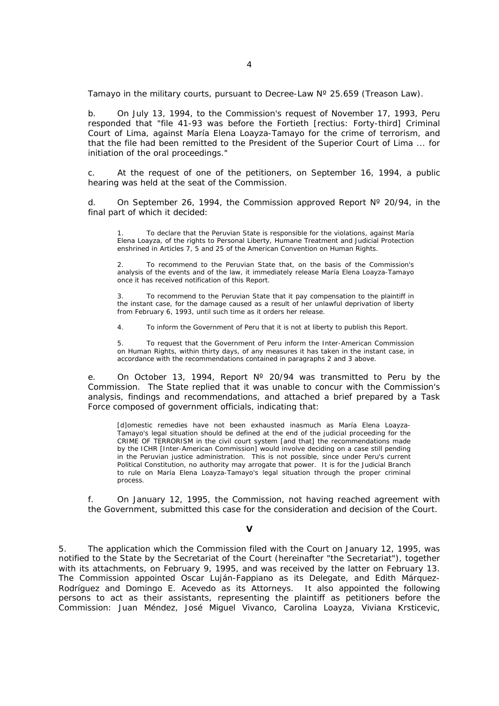Tamayo in the military courts, pursuant to Decree-Law  $N^{\circ}$  25.659 (Treason Law).

b. On July 13, 1994, to the Commission's request of November 17, 1993, Peru responded that "*file 41-93 was before the Fortieth* [*rectius*: Forty-third] *Criminal Court of Lima, against María Elena Loayza-Tamayo for the crime of terrorism, and that the file had been remitted to the President of the Superior Court of Lima ... for initiation of the oral proceedings.*"

c. At the request of one of the petitioners, on September 16, 1994, a public hearing was held at the seat of the Commission.

d. On September 26, 1994, the Commission approved Report  $N^{\circ}$  20/94, in the final part of which it decided:

1. To declare that the Peruvian State is responsible for the violations, against María Elena Loayza, of the rights to Personal Liberty, Humane Treatment and Judicial Protection enshrined in Articles 7, 5 and 25 of the American Convention on Human Rights.

2. To recommend to the Peruvian State that, on the basis of the Commission's analysis of the events and of the law, it immediately release María Elena Loayza-Tamayo once it has received notification of this Report.

3. To recommend to the Peruvian State that it pay compensation to the plaintiff in the instant case, for the damage caused as a result of her unlawful deprivation of liberty from February 6, 1993, until such time as it orders her release.

4. To inform the Government of Peru that it is not at liberty to publish this Report.

5. To request that the Government of Peru inform the Inter-American Commission on Human Rights, within thirty days, of any measures it has taken in the instant case, in accordance with the recommendations contained in paragraphs 2 and 3 above.

e. On October 13, 1994, Report N° 20/94 was transmitted to Peru by the Commission. The State replied that it was unable to concur with the Commission's analysis, findings and recommendations, and attached a brief prepared by a Task Force composed of government officials, indicating that:

[d]omestic remedies have not been exhausted inasmuch as María Elena Loayza-Tamayo's legal situation should be defined at the end of the judicial proceeding for the CRIME OF TERRORISM in the civil court system [and that] the recommendations made by the ICHR [Inter-American Commission] would involve deciding on a case still pending in the Peruvian justice administration. This is not possible, since under Peru's current Political Constitution, no authority may arrogate that power. It is for the Judicial Branch to rule on María Elena Loayza-Tamayo's legal situation through the proper criminal process.

f. On January 12, 1995, the Commission, not having reached agreement with the Government, submitted this case for the consideration and decision of the Court.

## **V**

5. The application which the Commission filed with the Court on January 12, 1995, was notified to the State by the Secretariat of the Court (hereinafter "the Secretariat"), together with its attachments, on February 9, 1995, and was received by the latter on February 13. The Commission appointed Oscar Luján-Fappiano as its Delegate, and Edith Márquez-Rodríguez and Domingo E. Acevedo as its Attorneys. It also appointed the following persons to act as their assistants, representing the plaintiff as petitioners before the Commission: Juan Méndez, José Miguel Vivanco, Carolina Loayza, Viviana Krsticevic,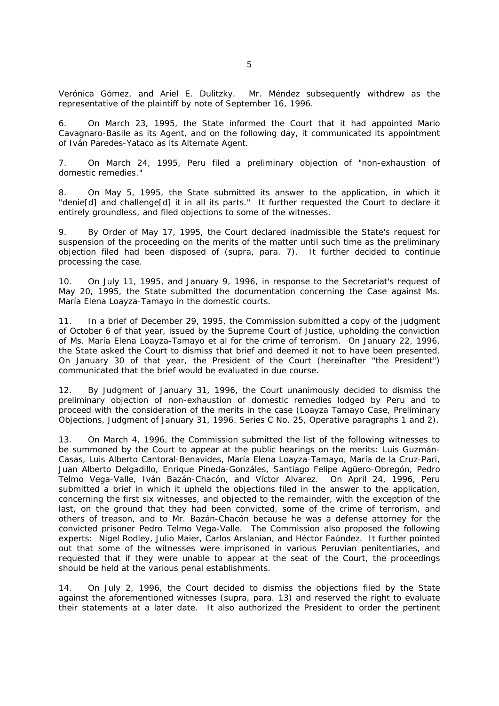Verónica Gómez, and Ariel E. Dulitzky. Mr. Méndez subsequently withdrew as the representative of the plaintiff by note of September 16, 1996.

6. On March 23, 1995, the State informed the Court that it had appointed Mario Cavagnaro-Basile as its Agent, and on the following day, it communicated its appointment of Iván Paredes-Yataco as its Alternate Agent.

7. On March 24, 1995, Peru filed a preliminary objection of "*non-exhaustion of domestic remedies.*"

8. On May 5, 1995, the State submitted its answer to the application, in which it "*denie*[d] *and challenge*[d] *it in all its parts.*" It further requested the Court to declare it entirely groundless, and filed objections to some of the witnesses.

9. By Order of May 17, 1995, the Court declared inadmissible the State's request for suspension of the proceeding on the merits of the matter until such time as the preliminary objection filed had been disposed of (*supra,* para. 7). It further decided to continue processing the case.

10. On July 11, 1995, and January 9, 1996, in response to the Secretariat's request of May 20, 1995, the State submitted the documentation concerning the Case against Ms. María Elena Loayza-Tamayo in the domestic courts.

11. In a brief of December 29, 1995, the Commission submitted a copy of the judgment of October 6 of that year, issued by the Supreme Court of Justice, upholding the conviction of Ms. María Elena Loayza-Tamayo *et al* for the crime of terrorism. On January 22, 1996, the State asked the Court to dismiss that brief and deemed it not to have been presented. On January 30 of that year, the President of the Court (hereinafter "the President") communicated that the brief would be evaluated in due course.

12. By Judgment of January 31, 1996, the Court unanimously decided to dismiss the preliminary objection of non-exhaustion of domestic remedies lodged by Peru and to proceed with the consideration of the merits in the case (*Loayza Tamayo Case, Preliminary Objections,* Judgment of January 31, 1996. Series C No. 25, Operative paragraphs 1 and 2).

13. On March 4, 1996, the Commission submitted the list of the following witnesses to be summoned by the Court to appear at the public hearings on the merits: Luis Guzmán-Casas, Luis Alberto Cantoral-Benavides, María Elena Loayza-Tamayo, María de la Cruz-Pari, Juan Alberto Delgadillo, Enrique Pineda-Gonzáles, Santiago Felipe Agüero-Obregón, Pedro Telmo Vega-Valle, Iván Bazán-Chacón, and Víctor Alvarez. On April 24, 1996, Peru submitted a brief in which it upheld the objections filed in the answer to the application, concerning the first six witnesses, and objected to the remainder, with the exception of the last, on the ground that they had been convicted, some of the crime of terrorism, and others of treason, and to Mr. Bazán-Chacón because he was a defense attorney for the convicted prisoner Pedro Telmo Vega-Valle. The Commission also proposed the following experts: Nigel Rodley, Julio Maier, Carlos Arslanian, and Héctor Faúndez. It further pointed out that some of the witnesses were imprisoned in various Peruvian penitentiaries, and requested that if they were unable to appear at the seat of the Court, the proceedings should be held at the various penal establishments.

14. On July 2, 1996, the Court decided to dismiss the objections filed by the State against the aforementioned witnesses (*supra,* para. 13) and reserved the right to evaluate their statements at a later date. It also authorized the President to order the pertinent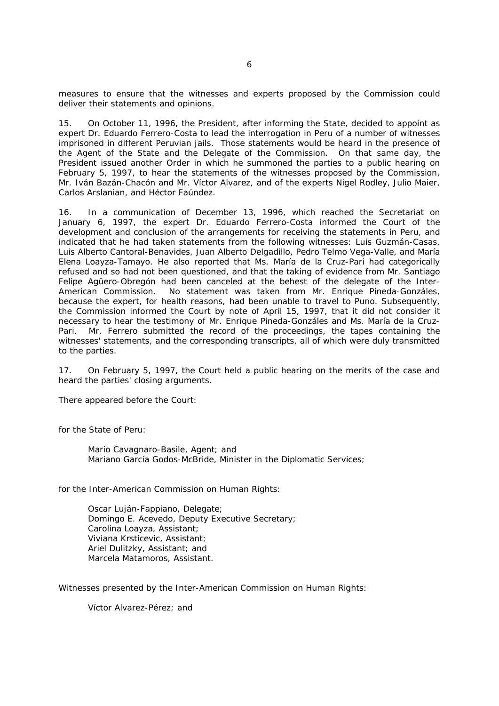measures to ensure that the witnesses and experts proposed by the Commission could deliver their statements and opinions.

15. On October 11, 1996, the President, after informing the State, decided to appoint as expert Dr. Eduardo Ferrero-Costa to lead the interrogation in Peru of a number of witnesses imprisoned in different Peruvian jails. Those statements would be heard in the presence of the Agent of the State and the Delegate of the Commission. On that same day, the President issued another Order in which he summoned the parties to a public hearing on February 5, 1997, to hear the statements of the witnesses proposed by the Commission, Mr. Iván Bazán-Chacón and Mr. Víctor Alvarez, and of the experts Nigel Rodley, Julio Maier, Carlos Arslanian, and Héctor Faúndez.

16. In a communication of December 13, 1996, which reached the Secretariat on January 6, 1997, the expert Dr. Eduardo Ferrero-Costa informed the Court of the development and conclusion of the arrangements for receiving the statements in Peru, and indicated that he had taken statements from the following witnesses: Luis Guzmán-Casas, Luis Alberto Cantoral-Benavides, Juan Alberto Delgadillo, Pedro Telmo Vega-Valle, and María Elena Loayza-Tamayo. He also reported that Ms. María de la Cruz-Pari had categorically refused and so had not been questioned, and that the taking of evidence from Mr. Santiago Felipe Agüero-Obregón had been canceled at the behest of the delegate of the Inter-American Commission. No statement was taken from Mr. Enrique Pineda-Gonzáles, because the expert, for health reasons, had been unable to travel to Puno. Subsequently, the Commission informed the Court by note of April 15, 1997, that it did not consider it necessary to hear the testimony of Mr. Enrique Pineda-Gonzáles and Ms. María de la Cruz-Pari. Mr. Ferrero submitted the record of the proceedings, the tapes containing the witnesses' statements, and the corresponding transcripts, all of which were duly transmitted to the parties.

17. On February 5, 1997, the Court held a public hearing on the merits of the case and heard the parties' closing arguments.

There appeared before the Court:

for the State of Peru:

Mario Cavagnaro-Basile, Agent; and Mariano García Godos-McBride, Minister in the Diplomatic Services;

for the Inter-American Commission on Human Rights:

Oscar Luján-Fappiano, Delegate; Domingo E. Acevedo, Deputy Executive Secretary; Carolina Loayza, Assistant; Viviana Krsticevic, Assistant; Ariel Dulitzky, Assistant; and Marcela Matamoros, Assistant.

Witnesses presented by the Inter-American Commission on Human Rights:

Víctor Alvarez-Pérez; and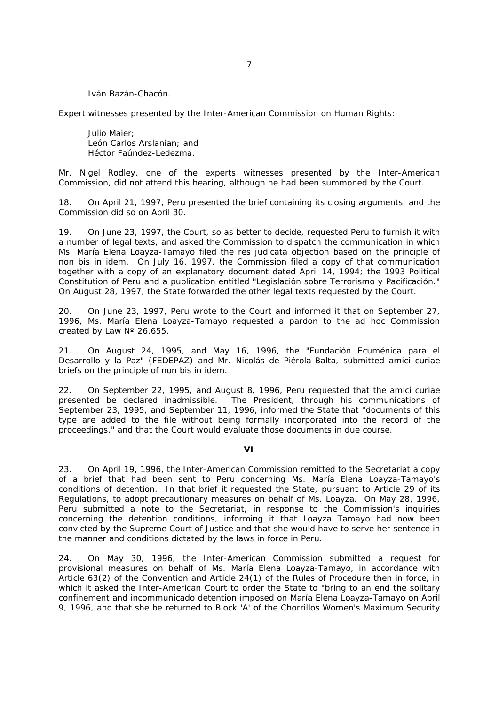Iván Bazán-Chacón.

Expert witnesses presented by the Inter-American Commission on Human Rights:

Julio Maier; León Carlos Arslanian; and Héctor Faúndez-Ledezma.

Mr. Nigel Rodley, one of the experts witnesses presented by the Inter-American Commission, did not attend this hearing, although he had been summoned by the Court.

18. On April 21, 1997, Peru presented the brief containing its closing arguments, and the Commission did so on April 30.

19. On June 23, 1997, the Court, so as better to decide, requested Peru to furnish it with a number of legal texts, and asked the Commission to dispatch the communication in which Ms. María Elena Loayza-Tamayo filed the *res judicata* objection based on the principle of *non bis in idem.* On July 16, 1997, the Commission filed a copy of that communication together with a copy of an explanatory document dated April 14, 1994; the 1993 Political Constitution of Peru and a publication entitled "*Legislación sobre Terrorismo y Pacificación*." On August 28, 1997, the State forwarded the other legal texts requested by the Court.

20. On June 23, 1997, Peru wrote to the Court and informed it that on September 27, 1996, Ms. María Elena Loayza-Tamayo requested a pardon to the *ad hoc* Commission created by Law Nº 26.655.

21. On August 24, 1995, and May 16, 1996, the "*Fundación Ecuménica para el Desarrollo y la Paz*" (FEDEPAZ) and Mr. Nicolás de Piérola-Balta, submitted *amici curiae* briefs on the principle of *non bis in idem.*

22. On September 22, 1995, and August 8, 1996, Peru requested that the *amici curiae* presented be declared inadmissible. The President, through his communications of September 23, 1995, and September 11, 1996, informed the State that "*documents of this type are added to the file without being formally incorporated into the record of the proceedings,*" and that the Court would evaluate those documents in due course.

#### **VI**

23. On April 19, 1996, the Inter-American Commission remitted to the Secretariat a copy of a brief that had been sent to Peru concerning Ms. María Elena Loayza-Tamayo's conditions of detention. In that brief it requested the State, pursuant to Article 29 of its Regulations, to adopt precautionary measures on behalf of Ms. Loayza. On May 28, 1996, Peru submitted a note to the Secretariat, in response to the Commission's inquiries concerning the detention conditions, informing it that Loayza Tamayo had now been convicted by the Supreme Court of Justice and that she would have to serve her sentence in the manner and conditions dictated by the laws in force in Peru.

24. On May 30, 1996, the Inter-American Commission submitted a request for provisional measures on behalf of Ms. María Elena Loayza-Tamayo, in accordance with Article 63(2) of the Convention and Article 24(1) of the Rules of Procedure then in force, in which it asked the Inter-American Court to order the State to "*bring to an end the solitary confinement and incommunicado detention imposed on María Elena Loayza-Tamayo on April 9, 1996, and that she be returned to Block 'A' of the Chorrillos Women's Maximum Security*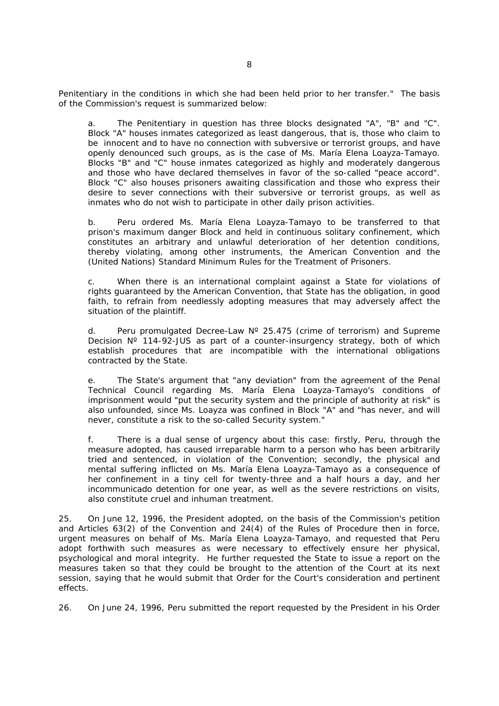*Penitentiary in the conditions in which she had been held prior to her transfer.*" The basis of the Commission's request is summarized below:

a. The Penitentiary in question has three blocks designated "A", "B" and "C". Block "A" houses inmates categorized as least dangerous, that is, those who claim to be innocent and to have no connection with subversive or terrorist groups, and have openly denounced such groups, as is the case of Ms. María Elena Loayza-Tamayo. Blocks "B" and "C" house inmates categorized as highly and moderately dangerous and those who have declared themselves in favor of the so-called "*peace accord*"*.* Block "C" also houses prisoners awaiting classification and those who express their desire to sever connections with their subversive or terrorist groups, as well as inmates who do not wish to participate in other daily prison activities.

b. Peru ordered Ms. María Elena Loayza-Tamayo to be transferred to that prison's maximum danger Block and held in continuous solitary confinement, which constitutes an arbitrary and unlawful deterioration of her detention conditions, thereby violating, among other instruments, the American Convention and the (United Nations) Standard Minimum Rules for the Treatment of Prisoners.

c. When there is an international complaint against a State for violations of rights guaranteed by the American Convention, that State has the obligation, in good faith, to refrain from needlessly adopting measures that may adversely affect the situation of the plaintiff.

d. Peru promulgated Decree-Law  $N^{\circ}$  25.475 (crime of terrorism) and Supreme Decision  $N^{\circ}$  114-92-JUS as part of a counter-insurgency strategy, both of which establish procedures that are incompatible with the international obligations contracted by the State.

e. The State's argument that "*any deviation*" from the agreement of the Penal Technical Council regarding Ms. María Elena Loayza-Tamayo's conditions of imprisonment would "*put the security system and the principle of authority at risk*" is also unfounded, since Ms. Loayza was confined in Block "A" and "*has never, and will never, constitute a risk to the so-called Security system.*"

f. There is a dual sense of urgency about this case: firstly, Peru, through the measure adopted, has caused irreparable harm to a person who has been arbitrarily tried and sentenced, in violation of the Convention; secondly, the physical and mental suffering inflicted on Ms. María Elena Loayza-Tamayo as a consequence of her confinement in a tiny cell for twenty-three and a half hours a day, and her incommunicado detention for one year, as well as the severe restrictions on visits, also constitute cruel and inhuman treatment.

25. On June 12, 1996, the President adopted, on the basis of the Commission's petition and Articles 63(2) of the Convention and 24(4) of the Rules of Procedure then in force, urgent measures on behalf of Ms. María Elena Loayza-Tamayo, and requested that Peru adopt forthwith such measures as were necessary to effectively ensure her physical, psychological and moral integrity. He further requested the State to issue a report on the measures taken so that they could be brought to the attention of the Court at its next session, saying that he would submit that Order for the Court's consideration and pertinent effects.

26. On June 24, 1996, Peru submitted the report requested by the President in his Order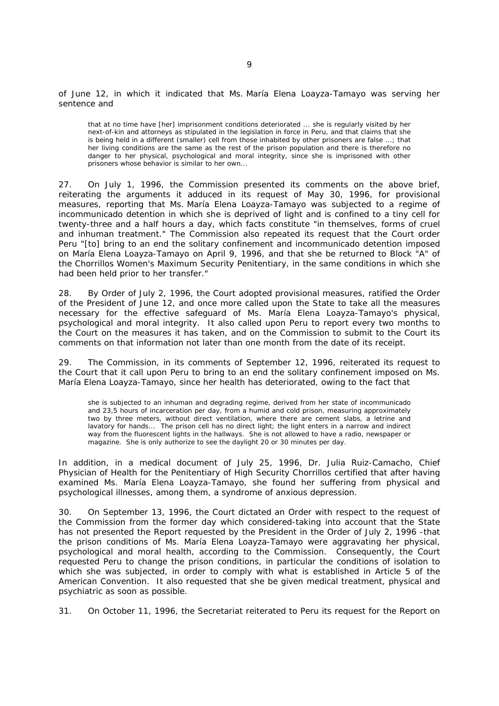of June 12, in which it indicated that Ms. María Elena Loayza-Tamayo was serving her sentence and

that at no time have [her] imprisonment conditions deteriorated ... she is regularly visited by her next-of-kin and attorneys as stipulated in the legislation in force in Peru, and that claims that she is being held in a different (smaller) cell from those inhabited by other prisoners are false ...; that her living conditions are the same as the rest of the prison population and there is therefore no danger to her physical, psychological and moral integrity, since she is imprisoned with other prisoners whose behavior is similar to her own...

27. On July 1, 1996, the Commission presented its comments on the above brief, reiterating the arguments it adduced in its request of May 30, 1996, for provisional measures, reporting that Ms. María Elena Loayza-Tamayo was subjected to a regime of incommunicado detention in which she is deprived of light and is confined to a tiny cell for twenty-three and a half hours a day, which facts constitute "*in themselves, forms of cruel and inhuman treatment.*" The Commission also repeated its request that the Court order Peru "[to] *bring to an end the solitary confinement and incommunicado detention imposed on María Elena Loayza-Tamayo on April 9, 1996, and that she be returned to Block* "*A*" *of the Chorrillos Women's Maximum Security Penitentiary, in the same conditions in which she had been held prior to her transfer.*"

28. By Order of July 2, 1996, the Court adopted provisional measures, ratified the Order of the President of June 12, and once more called upon the State to take all the measures necessary for the effective safeguard of Ms. María Elena Loayza-Tamayo's physical, psychological and moral integrity. It also called upon Peru to report every two months to the Court on the measures it has taken, and on the Commission to submit to the Court its comments on that information not later than one month from the date of its receipt.

29. The Commission, in its comments of September 12, 1996, reiterated its request to the Court that it call upon Peru to bring to an end the solitary confinement imposed on Ms. María Elena Loayza-Tamayo, since her health has deteriorated, owing to the fact that

she is subjected to an inhuman and degrading regime, derived from her state of incommunicado and 23,5 hours of incarceration per day, from a humid and cold prison, measuring approximately two by three meters, without direct ventilation, where there are cement slabs, a letrine and lavatory for hands... The prison cell has no direct light; the light enters in a narrow and indirect way from the fluorescent lights in the hallways. She is not allowed to have a radio, newspaper or magazine. She is only authorize to see the daylight 20 or 30 minutes per day.

In addition, in a medical document of July 25, 1996, Dr. Julia Ruiz-Camacho, Chief Physician of Health for the Penitentiary of High Security Chorrillos certified that after having examined Ms. María Elena Loayza-Tamayo, she found her suffering from physical and psychological illnesses, among them, a syndrome of anxious depression.

30. On September 13, 1996, the Court dictated an Order with respect to the request of the Commission from the former day which considered-taking into account that the State has not presented the Report requested by the President in the Order of July 2, 1996 -that the prison conditions of Ms. María Elena Loayza-Tamayo were aggravating her physical, psychological and moral health, according to the Commission. Consequently, the Court requested Peru to change the prison conditions, in particular the conditions of isolation to which she was subjected, in order to comply with what is established in Article 5 of the American Convention. It also requested that she be given medical treatment, physical and psychiatric as soon as possible.

31. On October 11, 1996, the Secretariat reiterated to Peru its request for the Report on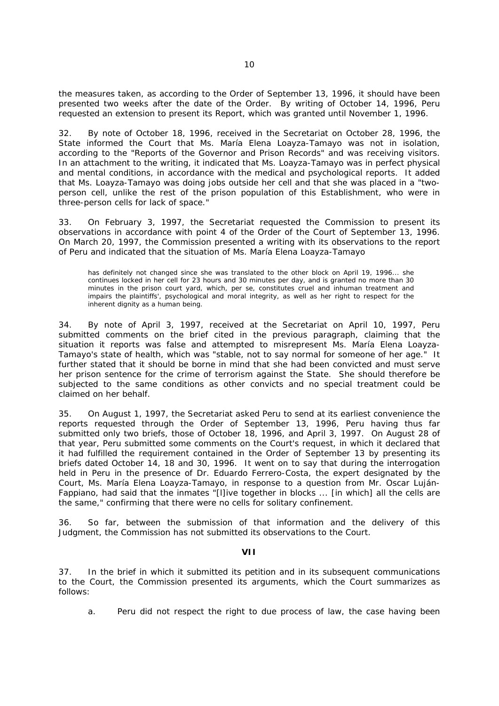the measures taken, as according to the Order of September 13, 1996, it should have been presented two weeks after the date of the Order. By writing of October 14, 1996, Peru requested an extension to present its Report, which was granted until November 1, 1996.

32. By note of October 18, 1996, received in the Secretariat on October 28, 1996, the State informed the Court that Ms. María Elena Loayza-Tamayo was not in isolation, according to the "*Reports of the Governor and Prison Records*" and was receiving visitors. In an attachment to the writing, it indicated that Ms. Loayza-Tamayo was in perfect physical and mental conditions, in accordance with the medical and psychological reports. It added that Ms. Loayza-Tamayo was doing jobs outside her cell and that she was placed in a "*twoperson cell, unlike the rest of the prison population of this Establishment, who were in three-person cells for lack of space.*"

33. On February 3, 1997, the Secretariat requested the Commission to present its observations in accordance with point 4 of the Order of the Court of September 13, 1996. On March 20, 1997, the Commission presented a writing with its observations to the report of Peru and indicated that the situation of Ms. María Elena Loayza-Tamayo

has definitely not changed since she was translated to the other block on April 19, 1996... she continues locked in her cell for 23 hours and 30 minutes per day, and is granted no more than 30 minutes in the prison court yard, which, *per se*, constitutes cruel and inhuman treatment and impairs the plaintiffs', psychological and moral integrity, as well as her right to respect for the inherent dignity as a human being.

34. By note of April 3, 1997, received at the Secretariat on April 10, 1997, Peru submitted comments on the brief cited in the previous paragraph, claiming that the situation it reports was false and attempted to misrepresent Ms. María Elena Loayza-Tamayo's state of health, which was "*stable, not to say normal for someone of her age.*" It further stated that it should be borne in mind that she had been convicted and must serve her prison sentence for the crime of terrorism against the State. She should therefore be subjected to the same conditions as other convicts and no special treatment could be claimed on her behalf.

35. On August 1, 1997, the Secretariat asked Peru to send at its earliest convenience the reports requested through the Order of September 13, 1996, Peru having thus far submitted only two briefs, those of October 18, 1996, and April 3, 1997. On August 28 of that year, Peru submitted some comments on the Court's request, in which it declared that it had fulfilled the requirement contained in the Order of September 13 by presenting its briefs dated October 14, 18 and 30, 1996. It went on to say that during the interrogation held in Peru in the presence of Dr. Eduardo Ferrero-Costa, the expert designated by the Court, Ms. María Elena Loayza-Tamayo, in response to a question from Mr. Oscar Luján-Fappiano, had said that the inmates "[l]*ive together in blocks ...* [in which] *all the cells are the same,*" confirming that there were no cells for solitary confinement.

36. So far, between the submission of that information and the delivery of this Judgment, the Commission has not submitted its observations to the Court.

## **VII**

37. In the brief in which it submitted its petition and in its subsequent communications to the Court, the Commission presented its arguments, which the Court summarizes as follows:

a. Peru did not respect the right to due process of law, the case having been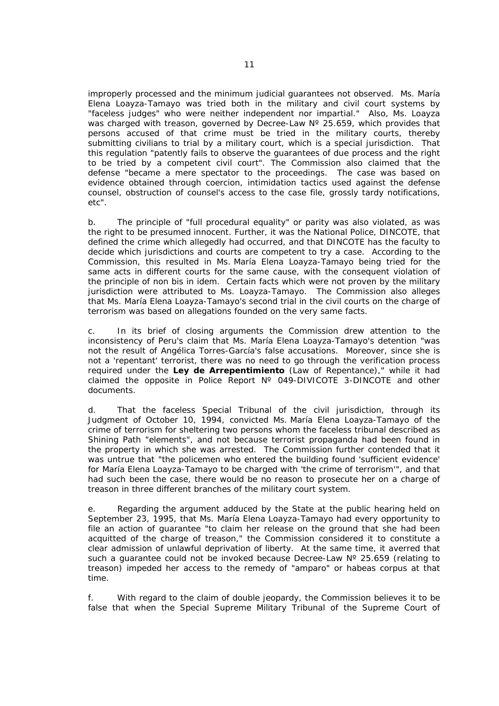improperly processed and the minimum judicial guarantees not observed. Ms. María Elena Loayza-Tamayo was tried both in the military and civil court systems by "*faceless judges*" *who were neither independent nor impartial.*" Also, Ms. Loayza was charged with treason, governed by Decree-Law N° 25.659, which provides that persons accused of that crime must be tried in the military courts, thereby submitting civilians to trial by a military court, which is a special jurisdiction. That this regulation "*patently fails to observe the guarantees of due process and the right to be tried by a competent civil court*"*.* The Commission also claimed that the defense "*became a mere spectator to the proceedings. The case was based on evidence obtained through coercion, intimidation tactics used against the defense counsel, obstruction of counsel's access to the case file, grossly tardy notifications, etc*".

b. The principle of "*full procedural equality*" or parity was also violated, as was the right to be presumed innocent. Further, it was the National Police, DINCOTE, that defined the crime which allegedly had occurred, and that DINCOTE has the faculty to decide which jurisdictions and courts are competent to try a case. According to the Commission, this resulted in Ms. María Elena Loayza-Tamayo being tried for the same acts in different courts for the same cause, with the consequent violation of the principle of *non bis in idem.* Certain facts which were not proven by the military jurisdiction were attributed to Ms. Loayza-Tamayo. The Commission also alleges that Ms. María Elena Loayza-Tamayo's second trial in the civil courts on the charge of terrorism was based on allegations founded on the very same facts.

c. In its brief of closing arguments the Commission drew attention to the inconsistency of Peru's claim that Ms. María Elena Loayza-Tamayo's detention "*was not the result of Angélica Torres-García's false accusations. Moreover, since she is not a* '*repentant*' *terrorist, there was no need to go through the verification process required under the Ley de Arrepentimiento (Law of Repentance)*," while it had claimed the opposite in Police Report Nº 049-DIVICOTE 3-DINCOTE and other documents.

d. That the faceless Special Tribunal of the civil jurisdiction, through its Judgment of October 10, 1994, convicted Ms. María Elena Loayza-Tamayo of the crime of terrorism for sheltering two persons whom the faceless tribunal described as Shining Path "elements", and not because terrorist propaganda had been found in the property in which she was arrested. The Commission further contended that it was untrue that "*the policemen who entered the building found* '*sufficient evidence*' *for María Elena Loayza-Tamayo to be charged with* '*the crime of terrorism'*"*,* and that had such been the case, there would be no reason to prosecute her on a charge of treason in three different branches of the military court system.

e. Regarding the argument adduced by the State at the public hearing held on September 23, 1995, that Ms. María Elena Loayza-Tamayo had every opportunity to file an action of guarantee "*to claim her release on the ground that she had been acquitted of the charge of treason,*" the Commission considered it to constitute a clear admission of unlawful deprivation of liberty. At the same time, it averred that such a quarantee could not be invoked because Decree-Law  $N^{\circ}$  25.659 (relating to treason) impeded her access to the remedy of "*amparo*" or *habeas corpus* at that time.

f. With regard to the claim of double jeopardy, the Commission believes it to be false that when the Special Supreme Military Tribunal of the Supreme Court of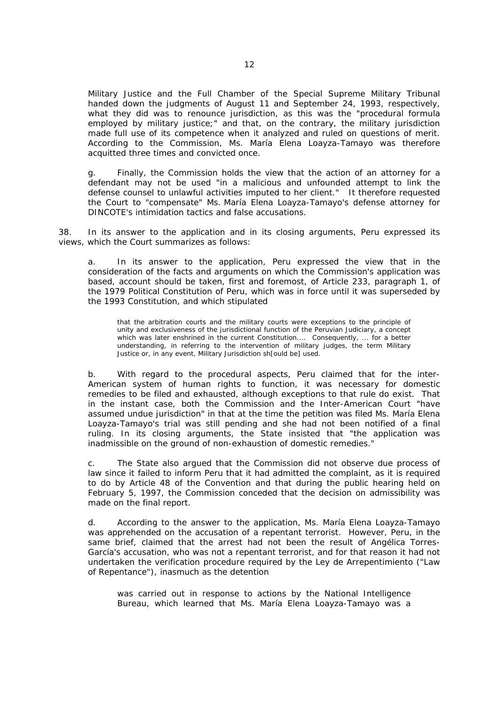Military Justice and the Full Chamber of the Special Supreme Military Tribunal handed down the judgments of August 11 and September 24, 1993, respectively, what they did was to renounce jurisdiction, as this was the "*procedural formula employed by military justice;*" and that, on the contrary, the military jurisdiction made full use of its competence when it analyzed and ruled on questions of merit. According to the Commission, Ms. María Elena Loayza-Tamayo was therefore acquitted three times and convicted once.

g. Finally, the Commission holds the view that the action of an attorney for a defendant may not be used "*in a malicious and unfounded attempt to link the defense counsel to unlawful activities imputed to her client.*" It therefore requested the Court to "compensate" Ms. María Elena Loayza-Tamayo's defense attorney for DINCOTE's intimidation tactics and false accusations.

38. In its answer to the application and in its closing arguments, Peru expressed its views, which the Court summarizes as follows:

a. In its answer to the application, Peru expressed the view that in the consideration of the facts and arguments on which the Commission's application was based, account should be taken, first and foremost, of Article 233, paragraph 1, of the 1979 Political Constitution of Peru, which was in force until it was superseded by the 1993 Constitution, and which stipulated

that the arbitration courts and the military courts were exceptions to the principle of unity and exclusiveness of the jurisdictional function of the Peruvian Judiciary, a concept which was later enshrined in the current Constitution.... Consequently, ... for a better understanding, in referring to the intervention of military judges, the term Military Justice or, in any event, Military Jurisdiction sh[ould be] used.

b. With regard to the procedural aspects, Peru claimed that for the inter-American system of human rights to function, it was necessary for domestic remedies to be filed and exhausted, although exceptions to that rule do exist. That in the instant case, both the Commission and the Inter-American Court "*have assumed undue jurisdiction*" in that at the time the petition was filed Ms. María Elena Loayza-Tamayo's trial was still pending and she had not been notified of a final ruling. In its closing arguments, the State insisted that "*the application was inadmissible on the ground of non-exhaustion of domestic remedies.*"

c. The State also argued that the Commission did not observe due process of law since it failed to inform Peru that it had admitted the complaint, as it is required to do by Article 48 of the Convention and that during the public hearing held on February 5, 1997, the Commission conceded that the decision on admissibility was made on the final report.

d. According to the answer to the application, Ms. María Elena Loayza-Tamayo was apprehended on the accusation of a repentant terrorist. However, Peru, in the same brief, claimed that the arrest had not been the result of Angélica Torres-García's accusation, who was not a repentant terrorist, and for that reason it had not undertaken the verification procedure required by the *Ley de Arrepentimiento* ("Law of Repentance"), inasmuch as the detention

was carried out in response to actions by the National Intelligence Bureau, which learned that Ms. María Elena Loayza-Tamayo was a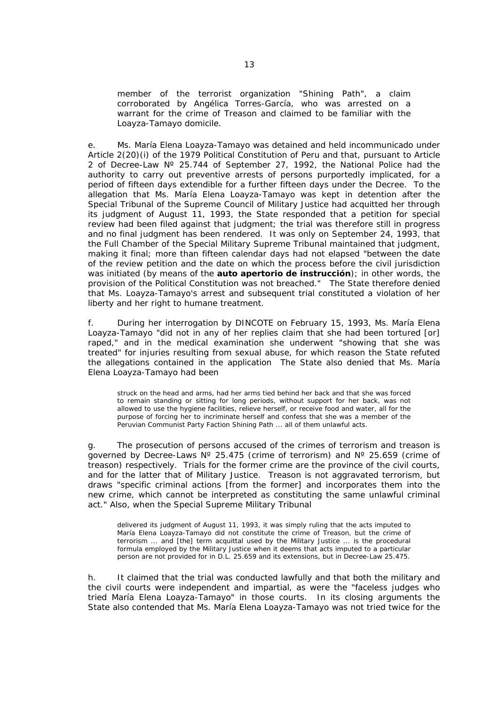member of the terrorist organization "Shining Path", a claim corroborated by Angélica Torres-García, who was arrested on a warrant for the crime of Treason and claimed to be familiar with the Loayza-Tamayo domicile.

e. Ms. María Elena Loayza-Tamayo was detained and held incommunicado under Article 2(20)(i) of the 1979 Political Constitution of Peru and that, pursuant to Article 2 of Decree-Law Nº 25.744 of September 27, 1992, the National Police had the authority to carry out preventive arrests of persons purportedly implicated, for a period of fifteen days extendible for a further fifteen days under the Decree. To the allegation that Ms. María Elena Loayza-Tamayo was kept in detention after the Special Tribunal of the Supreme Council of Military Justice had acquitted her through its judgment of August 11, 1993, the State responded that a petition for special review had been filed against that judgment; the trial was therefore still in progress and no final judgment has been rendered. It was only on September 24, 1993, that the Full Chamber of the Special Military Supreme Tribunal maintained that judgment, making it final; more than fifteen calendar days had not elapsed "*between the date of the review petition and the date on which the process before the civil jurisdiction was initiated (by means of the auto apertorio de instrucción); in other words, the provision of the Political Constitution was not breached.*" The State therefore denied that Ms. Loayza-Tamayo's arrest and subsequent trial constituted a violation of her liberty and her right to humane treatment.

f. During her interrogation by DINCOTE on February 15, 1993, Ms. María Elena Loayza-Tamayo "*did not in any of her replies claim that she had been tortured* [or] *raped,*" and in the medical examination she underwent "*showing that she was treated*" for injuries resulting from sexual abuse, for which reason the State refuted the allegations contained in the application The State also denied that Ms. María Elena Loayza-Tamayo had been

struck on the head and arms, had her arms tied behind her back and that she was forced to remain standing or sitting for long periods, without support for her back, was not allowed to use the hygiene facilities, relieve herself, or receive food and water, all for the purpose of forcing her to incriminate herself and confess that she was a member of the Peruvian Communist Party Faction Shining Path ... all of them unlawful acts.

g. The prosecution of persons accused of the crimes of terrorism and treason is governed by Decree-Laws  $N^{\circ}$  25.475 (crime of terrorism) and  $N^{\circ}$  25.659 (crime of treason) respectively. Trials for the former crime are the province of the civil courts, and for the latter that of Military Justice. Treason is not aggravated terrorism, but draws "*specific criminal actions* [from the former] *and incorporates them into the new crime, which cannot be interpreted as constituting the same unlawful criminal act.*" Also, when the Special Supreme Military Tribunal

delivered its judgment of August 11, 1993, it was simply ruling that the acts imputed to María Elena Loayza-Tamayo did not constitute the crime of Treason, but the crime of terrorism ... and [the] term acquittal used by the Military Justice ... is the procedural formula employed by the Military Justice when it deems that acts imputed to a particular person are not provided for in D.L. 25.659 and its extensions, but in Decree-Law 25.475.

h. It claimed that the trial was conducted lawfully and that both the military and the civil courts were independent and impartial, as were the "*faceless judges who tried María Elena Loayza-Tamayo*" in those courts. In its closing arguments the State also contended that Ms. María Elena Loayza-Tamayo was not tried twice for the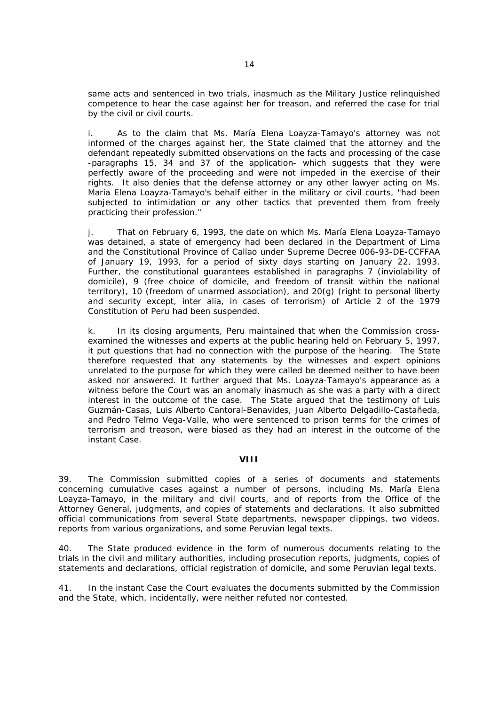same acts and sentenced in two trials, inasmuch as the Military Justice relinquished competence to hear the case against her for treason, and referred the case for trial by the civil or civil courts.

i. As to the claim that Ms. María Elena Loayza-Tamayo's attorney was not informed of the charges against her, the State claimed that the attorney and the defendant repeatedly submitted observations on the facts and processing of the case -paragraphs 15, 34 and 37 of the application- which suggests that they were perfectly aware of the proceeding and were not impeded in the exercise of their rights. It also denies that the defense attorney or any other lawyer acting on Ms. María Elena Loayza-Tamayo's behalf either in the military or civil courts, "*had been subjected to intimidation or any other tactics that prevented them from freely practicing their profession.*"

j. That on February 6, 1993, the date on which Ms. María Elena Loayza-Tamayo was detained, a state of emergency had been declared in the Department of Lima and the Constitutional Province of Callao under Supreme Decree 006-93-DE-CCFFAA of January 19, 1993, for a period of sixty days starting on January 22, 1993. Further, the constitutional guarantees established in paragraphs 7 (inviolability of domicile), 9 (free choice of domicile, and freedom of transit within the national territory), 10 (freedom of unarmed association), and 20(g) (right to personal liberty and security except, *inter alia,* in cases of terrorism) of Article 2 of the 1979 Constitution of Peru had been suspended.

k. In its closing arguments, Peru maintained that when the Commission crossexamined the witnesses and experts at the public hearing held on February 5, 1997, it put questions that had no connection with the purpose of the hearing. The State therefore requested that any statements by the witnesses and expert opinions unrelated to the purpose for which they were called be deemed neither to have been asked nor answered. It further argued that Ms. Loayza-Tamayo's appearance as a witness before the Court was an anomaly inasmuch as she was a party with a direct interest in the outcome of the case. The State argued that the testimony of Luis Guzmán-Casas, Luis Alberto Cantoral-Benavides, Juan Alberto Delgadillo-Castañeda, and Pedro Telmo Vega-Valle, who were sentenced to prison terms for the crimes of terrorism and treason, were biased as they had an interest in the outcome of the instant Case.

## **VIII**

39. The Commission submitted copies of a series of documents and statements concerning cumulative cases against a number of persons, including Ms. María Elena Loayza-Tamayo, in the military and civil courts, and of reports from the Office of the Attorney General, judgments, and copies of statements and declarations. It also submitted official communications from several State departments, newspaper clippings, two videos, reports from various organizations, and some Peruvian legal texts.

40. The State produced evidence in the form of numerous documents relating to the trials in the civil and military authorities, including prosecution reports, judgments, copies of statements and declarations, official registration of domicile, and some Peruvian legal texts.

41. In the instant Case the Court evaluates the documents submitted by the Commission and the State, which, incidentally, were neither refuted nor contested.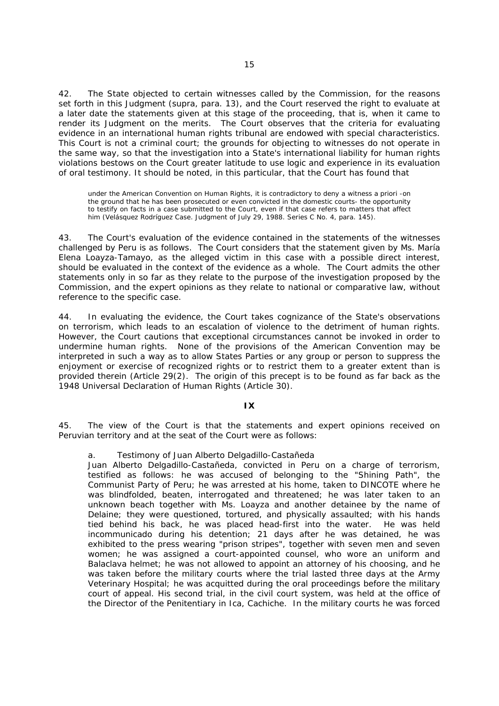42. The State objected to certain witnesses called by the Commission, for the reasons set forth in this Judgment (*supra,* para. 13), and the Court reserved the right to evaluate at a later date the statements given at this stage of the proceeding, that is, when it came to render its Judgment on the merits. The Court observes that the criteria for evaluating evidence in an international human rights tribunal are endowed with special characteristics. This Court is not a criminal court; the grounds for objecting to witnesses do not operate in the same way, so that the investigation into a State's international liability for human rights violations bestows on the Court greater latitude to use logic and experience in its evaluation of oral testimony. It should be noted, in this particular, that the Court has found that

under the American Convention on Human Rights, it is contradictory to deny a witness *a priori* -on the ground that he has been prosecuted or even convicted in the domestic courts- the opportunity to testify on facts in a case submitted to the Court, even if that case refers to matters that affect him (*Velásquez Rodríguez Case.* Judgment of July 29, 1988. Series C No. 4, para. 145).

43. The Court's evaluation of the evidence contained in the statements of the witnesses challenged by Peru is as follows. The Court considers that the statement given by Ms. María Elena Loayza-Tamayo, as the alleged victim in this case with a possible direct interest, should be evaluated in the context of the evidence as a whole. The Court admits the other statements only in so far as they relate to the purpose of the investigation proposed by the Commission, and the expert opinions as they relate to national or comparative law, without reference to the specific case.

44. In evaluating the evidence, the Court takes cognizance of the State's observations on terrorism, which leads to an escalation of violence to the detriment of human rights. However, the Court cautions that exceptional circumstances cannot be invoked in order to undermine human rights. None of the provisions of the American Convention may be interpreted in such a way as to allow States Parties or any group or person to suppress the enjoyment or exercise of recognized rights or to restrict them to a greater extent than is provided therein (Article 29(2). The origin of this precept is to be found as far back as the 1948 Universal Declaration of Human Rights (Article 30).

#### **IX**

45. The view of the Court is that the statements and expert opinions received on Peruvian territory and at the seat of the Court were as follows:

## a. *Testimony of Juan Alberto Delgadillo-Castañeda*

Juan Alberto Delgadillo-Castañeda, convicted in Peru on a charge of terrorism, testified as follows: he was accused of belonging to the "Shining Path", the Communist Party of Peru; he was arrested at his home, taken to DINCOTE where he was blindfolded, beaten, interrogated and threatened; he was later taken to an unknown beach together with Ms. Loayza and another detainee by the name of Delaine; they were questioned, tortured, and physically assaulted; with his hands tied behind his back, he was placed head-first into the water. He was held incommunicado during his detention; 21 days after he was detained, he was exhibited to the press wearing "prison stripes", together with seven men and seven women; he was assigned a court-appointed counsel, who wore an uniform and Balaclava helmet; he was not allowed to appoint an attorney of his choosing, and he was taken before the military courts where the trial lasted three days at the Army Veterinary Hospital; he was acquitted during the oral proceedings before the military court of appeal. His second trial, in the civil court system, was held at the office of the Director of the Penitentiary in Ica, Cachiche. In the military courts he was forced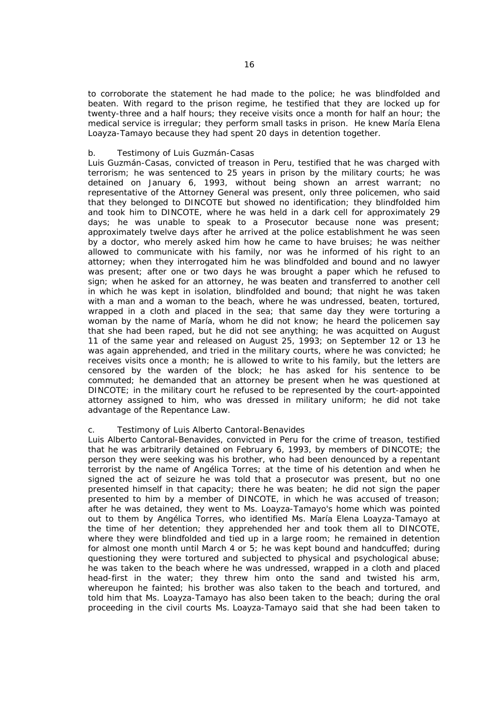to corroborate the statement he had made to the police; he was blindfolded and beaten. With regard to the prison regime, he testified that they are locked up for twenty-three and a half hours; they receive visits once a month for half an hour; the medical service is irregular; they perform small tasks in prison. He knew María Elena Loayza-Tamayo because they had spent 20 days in detention together.

## b. *Testimony of Luis Guzmán-Casas*

Luis Guzmán-Casas, convicted of treason in Peru, testified that he was charged with terrorism; he was sentenced to 25 years in prison by the military courts; he was detained on January 6, 1993, without being shown an arrest warrant; no representative of the Attorney General was present, only three policemen, who said that they belonged to DINCOTE but showed no identification; they blindfolded him and took him to DINCOTE, where he was held in a dark cell for approximately 29 days; he was unable to speak to a Prosecutor because none was present; approximately twelve days after he arrived at the police establishment he was seen by a doctor, who merely asked him how he came to have bruises; he was neither allowed to communicate with his family, nor was he informed of his right to an attorney; when they interrogated him he was blindfolded and bound and no lawyer was present; after one or two days he was brought a paper which he refused to sign; when he asked for an attorney, he was beaten and transferred to another cell in which he was kept in isolation, blindfolded and bound; that night he was taken with a man and a woman to the beach, where he was undressed, beaten, tortured, wrapped in a cloth and placed in the sea; that same day they were torturing a woman by the name of María, whom he did not know; he heard the policemen say that she had been raped, but he did not see anything; he was acquitted on August 11 of the same year and released on August 25, 1993; on September 12 or 13 he was again apprehended, and tried in the military courts, where he was convicted; he receives visits once a month; he is allowed to write to his family, but the letters are censored by the warden of the block; he has asked for his sentence to be commuted; he demanded that an attorney be present when he was questioned at DINCOTE; in the military court he refused to be represented by the court-appointed attorney assigned to him, who was dressed in military uniform; he did not take advantage of the Repentance Law.

## c. *Testimony of Luis Alberto Cantoral-Benavides*

Luis Alberto Cantoral-Benavides, convicted in Peru for the crime of treason, testified that he was arbitrarily detained on February 6, 1993, by members of DINCOTE; the person they were seeking was his brother, who had been denounced by a repentant terrorist by the name of Angélica Torres; at the time of his detention and when he signed the act of seizure he was told that a prosecutor was present, but no one presented himself in that capacity; there he was beaten; he did not sign the paper presented to him by a member of DINCOTE, in which he was accused of treason; after he was detained, they went to Ms. Loayza-Tamayo's home which was pointed out to them by Angélica Torres, who identified Ms. María Elena Loayza-Tamayo at the time of her detention; they apprehended her and took them all to DINCOTE, where they were blindfolded and tied up in a large room; he remained in detention for almost one month until March 4 or 5; he was kept bound and handcuffed; during questioning they were tortured and subjected to physical and psychological abuse; he was taken to the beach where he was undressed, wrapped in a cloth and placed head-first in the water; they threw him onto the sand and twisted his arm, whereupon he fainted; his brother was also taken to the beach and tortured, and told him that Ms. Loayza-Tamayo has also been taken to the beach; during the oral proceeding in the civil courts Ms. Loayza-Tamayo said that she had been taken to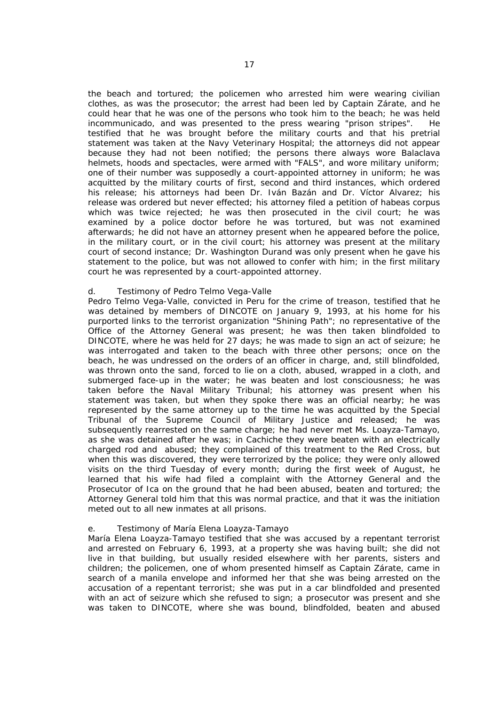the beach and tortured; the policemen who arrested him were wearing civilian clothes, as was the prosecutor; the arrest had been led by Captain Zárate, and he could hear that he was one of the persons who took him to the beach; he was held incommunicado, and was presented to the press wearing "prison stripes". He testified that he was brought before the military courts and that his pretrial statement was taken at the Navy Veterinary Hospital; the attorneys did not appear because they had not been notified; the persons there always wore Balaclava helmets, hoods and spectacles, were armed with "FALS", and wore military uniform; one of their number was supposedly a court-appointed attorney in uniform; he was acquitted by the military courts of first, second and third instances, which ordered his release; his attorneys had been Dr. Iván Bazán and Dr. Víctor Alvarez; his release was ordered but never effected; his attorney filed a petition of habeas corpus which was twice rejected; he was then prosecuted in the civil court; he was examined by a police doctor before he was tortured, but was not examined afterwards; he did not have an attorney present when he appeared before the police, in the military court, or in the civil court; his attorney was present at the military court of second instance; Dr. Washington Durand was only present when he gave his statement to the police, but was not allowed to confer with him; in the first military court he was represented by a court-appointed attorney.

### d. *Testimony of Pedro Telmo Vega-Valle*

Pedro Telmo Vega-Valle, convicted in Peru for the crime of treason, testified that he was detained by members of DINCOTE on January 9, 1993, at his home for his purported links to the terrorist organization "Shining Path"; no representative of the Office of the Attorney General was present; he was then taken blindfolded to DINCOTE, where he was held for 27 days; he was made to sign an act of seizure; he was interrogated and taken to the beach with three other persons; once on the beach, he was undressed on the orders of an officer in charge, and, still blindfolded, was thrown onto the sand, forced to lie on a cloth, abused, wrapped in a cloth, and submerged face-up in the water; he was beaten and lost consciousness; he was taken before the Naval Military Tribunal; his attorney was present when his statement was taken, but when they spoke there was an official nearby; he was represented by the same attorney up to the time he was acquitted by the Special Tribunal of the Supreme Council of Military Justice and released; he was subsequently rearrested on the same charge; he had never met Ms. Loayza-Tamayo, as she was detained after he was; in Cachiche they were beaten with an electrically charged rod and abused; they complained of this treatment to the Red Cross, but when this was discovered, they were terrorized by the police; they were only allowed visits on the third Tuesday of every month; during the first week of August, he learned that his wife had filed a complaint with the Attorney General and the Prosecutor of Ica on the ground that he had been abused, beaten and tortured; the Attorney General told him that this was normal practice, and that it was the initiation meted out to all new inmates at all prisons.

#### e. *Testimony of María Elena Loayza-Tamayo*

María Elena Loayza-Tamayo testified that she was accused by a repentant terrorist and arrested on February 6, 1993, at a property she was having built; she did not live in that building, but usually resided elsewhere with her parents, sisters and children; the policemen, one of whom presented himself as Captain Zárate, came in search of a manila envelope and informed her that she was being arrested on the accusation of a repentant terrorist; she was put in a car blindfolded and presented with an act of seizure which she refused to sign; a prosecutor was present and she was taken to DINCOTE, where she was bound, blindfolded, beaten and abused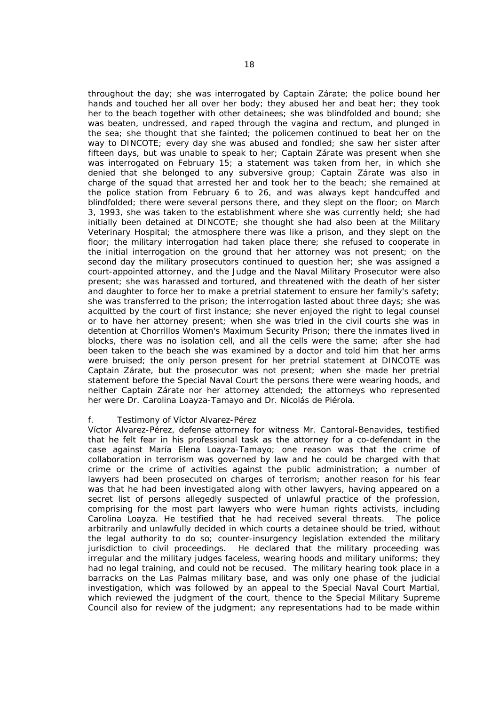throughout the day; she was interrogated by Captain Zárate; the police bound her hands and touched her all over her body; they abused her and beat her; they took her to the beach together with other detainees; she was blindfolded and bound; she was beaten, undressed, and raped through the vagina and rectum, and plunged in the sea; she thought that she fainted; the policemen continued to beat her on the way to DINCOTE; every day she was abused and fondled; she saw her sister after fifteen days, but was unable to speak to her; Captain Zárate was present when she was interrogated on February 15; a statement was taken from her, in which she denied that she belonged to any subversive group; Captain Zárate was also in charge of the squad that arrested her and took her to the beach; she remained at the police station from February 6 to 26, and was always kept handcuffed and blindfolded; there were several persons there, and they slept on the floor; on March 3, 1993, she was taken to the establishment where she was currently held; she had initially been detained at DINCOTE; she thought she had also been at the Military Veterinary Hospital; the atmosphere there was like a prison, and they slept on the floor; the military interrogation had taken place there; she refused to cooperate in the initial interrogation on the ground that her attorney was not present; on the second day the military prosecutors continued to question her; she was assigned a court-appointed attorney, and the Judge and the Naval Military Prosecutor were also present; she was harassed and tortured, and threatened with the death of her sister and daughter to force her to make a pretrial statement to ensure her family's safety; she was transferred to the prison; the interrogation lasted about three days; she was acquitted by the court of first instance; she never enjoyed the right to legal counsel or to have her attorney present; when she was tried in the civil courts she was in detention at Chorrillos Women's Maximum Security Prison; there the inmates lived in blocks, there was no isolation cell, and all the cells were the same; after she had been taken to the beach she was examined by a doctor and told him that her arms were bruised; the only person present for her pretrial statement at DINCOTE was Captain Zárate, but the prosecutor was not present; when she made her pretrial statement before the Special Naval Court the persons there were wearing hoods, and neither Captain Zárate nor her attorney attended; the attorneys who represented her were Dr. Carolina Loayza-Tamayo and Dr. Nicolás de Piérola.

#### f. *Testimony of Víctor Alvarez-Pérez*

Víctor Alvarez-Pérez, defense attorney for witness Mr. Cantoral-Benavides, testified that he felt fear in his professional task as the attorney for a co-defendant in the case against María Elena Loayza-Tamayo; one reason was that the crime of collaboration in terrorism was governed by law and he could be charged with that crime or the crime of activities against the public administration; a number of lawyers had been prosecuted on charges of terrorism; another reason for his fear was that he had been investigated along with other lawyers, having appeared on a secret list of persons allegedly suspected of unlawful practice of the profession, comprising for the most part lawyers who were human rights activists, including Carolina Loayza. He testified that he had received several threats. The police arbitrarily and unlawfully decided in which courts a detainee should be tried, without the legal authority to do so; counter-insurgency legislation extended the military jurisdiction to civil proceedings. He declared that the military proceeding was irregular and the military judges faceless, wearing hoods and military uniforms; they had no legal training, and could not be recused. The military hearing took place in a barracks on the Las Palmas military base, and was only one phase of the judicial investigation, which was followed by an appeal to the Special Naval Court Martial, which reviewed the judgment of the court, thence to the Special Military Supreme Council also for review of the judgment; any representations had to be made within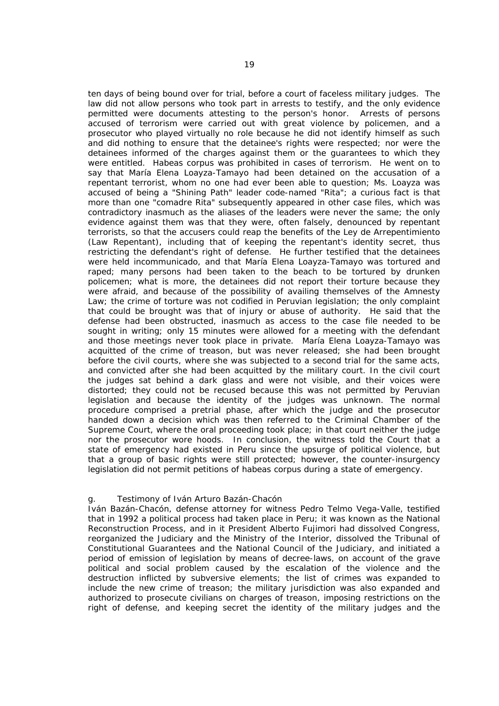ten days of being bound over for trial, before a court of faceless military judges. The law did not allow persons who took part in arrests to testify, and the only evidence permitted were documents attesting to the person's honor. Arrests of persons accused of terrorism were carried out with great violence by policemen, and a prosecutor who played virtually no role because he did not identify himself as such and did nothing to ensure that the detainee's rights were respected; nor were the detainees informed of the charges against them or the guarantees to which they were entitled. Habeas corpus was prohibited in cases of terrorism. He went on to say that María Elena Loayza-Tamayo had been detained on the accusation of a repentant terrorist, whom no one had ever been able to question; Ms. Loayza was accused of being a "Shining Path" leader code-named "Rita"; a curious fact is that more than one "comadre Rita" subsequently appeared in other case files, which was contradictory inasmuch as the aliases of the leaders were never the same; the only evidence against them was that they were, often falsely, denounced by repentant terrorists, so that the accusers could reap the benefits of the *Ley de Arrepentimiento*  (Law Repentant), including that of keeping the repentant's identity secret, thus restricting the defendant's right of defense. He further testified that the detainees were held incommunicado, and that María Elena Loayza-Tamayo was tortured and raped; many persons had been taken to the beach to be tortured by drunken policemen; what is more, the detainees did not report their torture because they were afraid, and because of the possibility of availing themselves of the Amnesty Law; the crime of torture was not codified in Peruvian legislation; the only complaint that could be brought was that of injury or abuse of authority. He said that the defense had been obstructed, inasmuch as access to the case file needed to be sought in writing; only 15 minutes were allowed for a meeting with the defendant and those meetings never took place in private. María Elena Loayza-Tamayo was acquitted of the crime of treason, but was never released; she had been brought before the civil courts, where she was subjected to a second trial for the same acts, and convicted after she had been acquitted by the military court. In the civil court the judges sat behind a dark glass and were not visible, and their voices were distorted; they could not be recused because this was not permitted by Peruvian legislation and because the identity of the judges was unknown. The normal procedure comprised a pretrial phase, after which the judge and the prosecutor handed down a decision which was then referred to the Criminal Chamber of the Supreme Court, where the oral proceeding took place; in that court neither the judge nor the prosecutor wore hoods. In conclusion, the witness told the Court that a state of emergency had existed in Peru since the upsurge of political violence, but that a group of basic rights were still protected; however, the counter-insurgency legislation did not permit petitions of habeas corpus during a state of emergency.

#### g. *Testimony of Iván Arturo Bazán-Chacón*

Iván Bazán-Chacón, defense attorney for witness Pedro Telmo Vega-Valle, testified that in 1992 a political process had taken place in Peru; it was known as the National Reconstruction Process, and in it President Alberto Fujimori had dissolved Congress, reorganized the Judiciary and the Ministry of the Interior, dissolved the Tribunal of Constitutional Guarantees and the National Council of the Judiciary, and initiated a period of emission of legislation by means of decree-laws, on account of the grave political and social problem caused by the escalation of the violence and the destruction inflicted by subversive elements; the list of crimes was expanded to include the new crime of treason; the military jurisdiction was also expanded and authorized to prosecute civilians on charges of treason, imposing restrictions on the right of defense, and keeping secret the identity of the military judges and the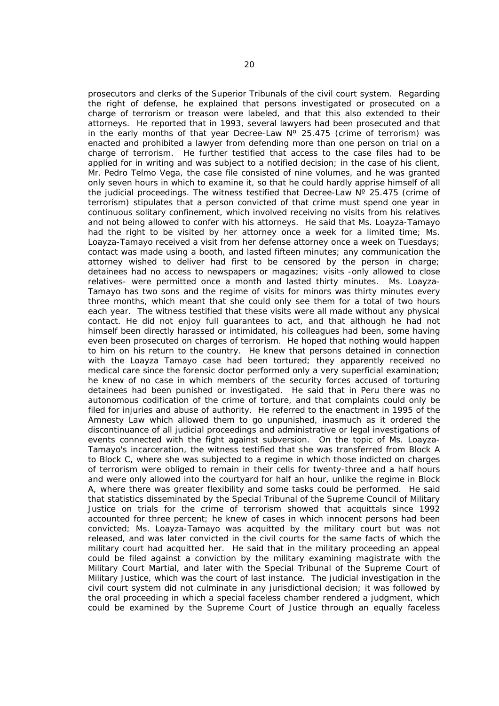prosecutors and clerks of the Superior Tribunals of the civil court system. Regarding the right of defense, he explained that persons investigated or prosecuted on a charge of terrorism or treason were labeled, and that this also extended to their attorneys. He reported that in 1993, several lawyers had been prosecuted and that in the early months of that year Decree-Law  $N^{\circ}$  25.475 (crime of terrorism) was enacted and prohibited a lawyer from defending more than one person on trial on a charge of terrorism. He further testified that access to the case files had to be applied for in writing and was subject to a notified decision; in the case of his client, Mr. Pedro Telmo Vega, the case file consisted of nine volumes, and he was granted only seven hours in which to examine it, so that he could hardly apprise himself of all the judicial proceedings. The witness testified that Decree-Law  $N^{\circ}$  25.475 (crime of terrorism) stipulates that a person convicted of that crime must spend one year in continuous solitary confinement, which involved receiving no visits from his relatives and not being allowed to confer with his attorneys. He said that Ms. Loayza-Tamayo had the right to be visited by her attorney once a week for a limited time; Ms. Loayza-Tamayo received a visit from her defense attorney once a week on Tuesdays; contact was made using a booth, and lasted fifteen minutes; any communication the attorney wished to deliver had first to be censored by the person in charge; detainees had no access to newspapers or magazines; visits -only allowed to close relatives- were permitted once a month and lasted thirty minutes. Ms. Loayza-Tamayo has two sons and the regime of visits for minors was thirty minutes every three months, which meant that she could only see them for a total of two hours each year. The witness testified that these visits were all made without any physical contact. He did not enjoy full guarantees to act, and that although he had not himself been directly harassed or intimidated, his colleagues had been, some having even been prosecuted on charges of terrorism. He hoped that nothing would happen to him on his return to the country. He knew that persons detained in connection with the Loayza Tamayo case had been tortured; they apparently received no medical care since the forensic doctor performed only a very superficial examination; he knew of no case in which members of the security forces accused of torturing detainees had been punished or investigated. He said that in Peru there was no autonomous codification of the crime of torture, and that complaints could only be filed for injuries and abuse of authority. He referred to the enactment in 1995 of the Amnesty Law which allowed them to go unpunished, inasmuch as it ordered the discontinuance of all judicial proceedings and administrative or legal investigations of events connected with the fight against subversion. On the topic of Ms. Loayza-Tamayo's incarceration, the witness testified that she was transferred from Block A to Block C, where she was subjected to a regime in which those indicted on charges of terrorism were obliged to remain in their cells for twenty-three and a half hours and were only allowed into the courtyard for half an hour, unlike the regime in Block A, where there was greater flexibility and some tasks could be performed. He said that statistics disseminated by the Special Tribunal of the Supreme Council of Military Justice on trials for the crime of terrorism showed that acquittals since 1992 accounted for three percent; he knew of cases in which innocent persons had been convicted; Ms. Loayza-Tamayo was acquitted by the military court but was not released, and was later convicted in the civil courts for the same facts of which the military court had acquitted her. He said that in the military proceeding an appeal could be filed against a conviction by the military examining magistrate with the Military Court Martial, and later with the Special Tribunal of the Supreme Court of Military Justice, which was the court of last instance. The judicial investigation in the civil court system did not culminate in any jurisdictional decision; it was followed by the oral proceeding in which a special faceless chamber rendered a judgment, which could be examined by the Supreme Court of Justice through an equally faceless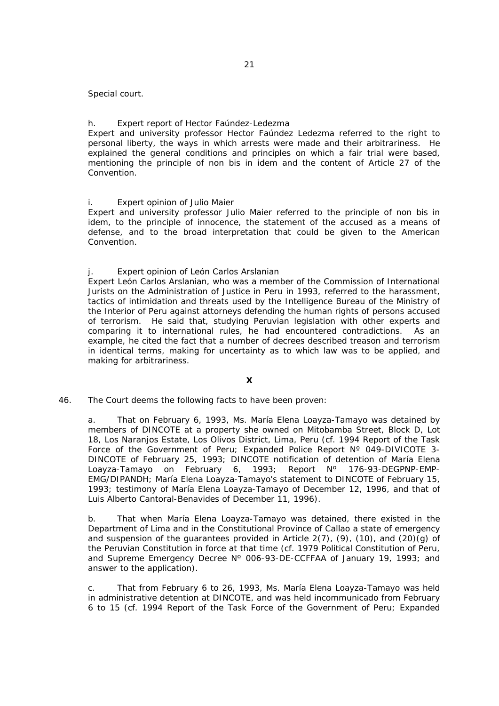Special court.

## h. *Expert report of Hector Faúndez-Ledezma*

Expert and university professor Hector Faúndez Ledezma referred to the right to personal liberty, the ways in which arrests were made and their arbitrariness. He explained the general conditions and principles on which a fair trial were based, mentioning the principle of *non bis in idem* and the content of Article 27 of the Convention.

#### i. *Expert opinion of Julio Maier*

Expert and university professor Julio Maier referred to the principle of *non bis in idem*, to the principle of innocence, the statement of the accused as a means of defense, and to the broad interpretation that could be given to the American Convention.

### j. *Expert opinion of León Carlos Arslanian*

Expert León Carlos Arslanian, who was a member of the Commission of International Jurists on the Administration of Justice in Peru in 1993, referred to the harassment, tactics of intimidation and threats used by the Intelligence Bureau of the Ministry of the Interior of Peru against attorneys defending the human rights of persons accused of terrorism. He said that, studying Peruvian legislation with other experts and comparing it to international rules, he had encountered contradictions. As an example, he cited the fact that a number of decrees described treason and terrorism in identical terms, making for uncertainty as to which law was to be applied, and making for arbitrariness.

# **X**

## 46. The Court deems the following facts to have been proven:

a. That on February 6, 1993, Ms. María Elena Loayza-Tamayo was detained by members of DINCOTE at a property she owned on Mitobamba Street, Block D, Lot 18, Los Naranjos Estate, Los Olivos District, Lima, Peru (cf. 1994 Report of the Task Force of the Government of Peru; Expanded Police Report Nº 049-DIVICOTE 3- DINCOTE of February 25, 1993; DINCOTE notification of detention of María Elena Loayza-Tamayo on February 6, 1993; Report N° 176-93-DEGPNP-EMP-EMG/DIPANDH; María Elena Loayza-Tamayo's statement to DINCOTE of February 15, 1993; testimony of María Elena Loayza-Tamayo of December 12, 1996, and that of Luis Alberto Cantoral-Benavides of December 11, 1996).

b. That when María Elena Loayza-Tamayo was detained, there existed in the Department of Lima and in the Constitutional Province of Callao a state of emergency and suspension of the quarantees provided in Article  $2(7)$ ,  $(9)$ ,  $(10)$ , and  $(20)(q)$  of the Peruvian Constitution in force at that time (cf. 1979 Political Constitution of Peru, and Supreme Emergency Decree N° 006-93-DE-CCFFAA of January 19, 1993; and answer to the application).

c. That from February 6 to 26, 1993, Ms. María Elena Loayza-Tamayo was held in administrative detention at DINCOTE, and was held incommunicado from February 6 to 15 (cf. 1994 Report of the Task Force of the Government of Peru; Expanded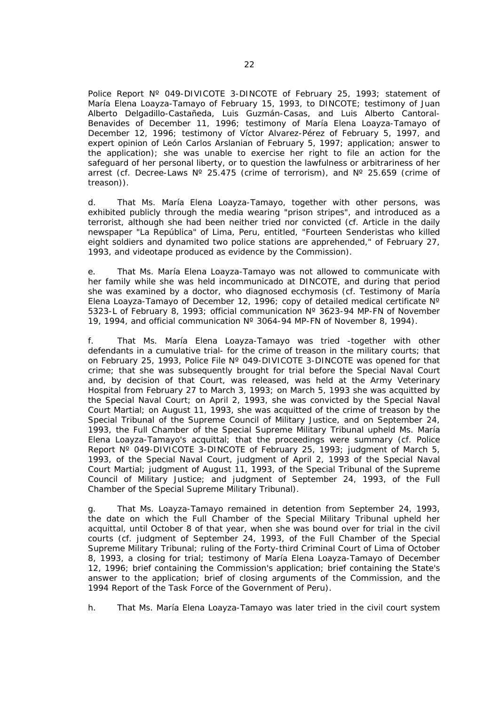Police Report Nº 049-DIVICOTE 3-DINCOTE of February 25, 1993; statement of María Elena Loayza-Tamayo of February 15, 1993, to DINCOTE; testimony of Juan Alberto Delgadillo-Castañeda, Luis Guzmán-Casas, and Luis Alberto Cantoral-Benavides of December 11, 1996; testimony of María Elena Loayza-Tamayo of December 12, 1996; testimony of Víctor Alvarez-Pérez of February 5, 1997, and expert opinion of León Carlos Arslanian of February 5, 1997; application; answer to the application); she was unable to exercise her right to file an action for the safeguard of her personal liberty, or to question the lawfulness or arbitrariness of her arrest (cf. Decree-Laws  $N^{\circ}$  25.475 (crime of terrorism), and  $N^{\circ}$  25.659 (crime of treason)).

d. That Ms. María Elena Loayza-Tamayo, together with other persons, was exhibited publicly through the media wearing "prison stripes", and introduced as a terrorist, although she had been neither tried nor convicted (cf. Article in the daily newspaper "La República" of Lima, Peru, entitled, *"Fourteen Senderistas who killed eight soldiers and dynamited two police stations are apprehended*," of February 27, 1993, and videotape produced as evidence by the Commission).

e. That Ms. María Elena Loayza-Tamayo was not allowed to communicate with her family while she was held incommunicado at DINCOTE, and during that period she was examined by a doctor, who diagnosed ecchymosis (cf. Testimony of María Elena Loayza-Tamayo of December 12, 1996; copy of detailed medical certificate Nº 5323-L of February 8, 1993; official communication Nº 3623-94 MP-FN of November 19, 1994, and official communication Nº 3064-94 MP-FN of November 8, 1994).

f. That Ms. María Elena Loayza-Tamayo was tried -together with other defendants in a cumulative trial- for the crime of treason in the military courts; that on February 25, 1993, Police File Nº 049-DIVICOTE 3-DINCOTE was opened for that crime; that she was subsequently brought for trial before the Special Naval Court and, by decision of that Court, was released, was held at the Army Veterinary Hospital from February 27 to March 3, 1993; on March 5, 1993 she was acquitted by the Special Naval Court; on April 2, 1993, she was convicted by the Special Naval Court Martial; on August 11, 1993, she was acquitted of the crime of treason by the Special Tribunal of the Supreme Council of Military Justice, and on September 24, 1993, the Full Chamber of the Special Supreme Military Tribunal upheld Ms. María Elena Loayza-Tamayo's acquittal; that the proceedings were summary (cf. Police Report Nº 049-DIVICOTE 3-DINCOTE of February 25, 1993; judgment of March 5, 1993, of the Special Naval Court, judgment of April 2, 1993 of the Special Naval Court Martial; judgment of August 11, 1993, of the Special Tribunal of the Supreme Council of Military Justice; and judgment of September 24, 1993, of the Full Chamber of the Special Supreme Military Tribunal).

g. That Ms. Loayza-Tamayo remained in detention from September 24, 1993, the date on which the Full Chamber of the Special Military Tribunal upheld her acquittal, until October 8 of that year, when she was bound over for trial in the civil courts (cf. judgment of September 24, 1993, of the Full Chamber of the Special Supreme Military Tribunal; ruling of the Forty-third Criminal Court of Lima of October 8, 1993, a closing for trial; testimony of María Elena Loayza-Tamayo of December 12, 1996; brief containing the Commission's application; brief containing the State's answer to the application; brief of closing arguments of the Commission, and the 1994 Report of the Task Force of the Government of Peru).

h. That Ms. María Elena Loayza-Tamayo was later tried in the civil court system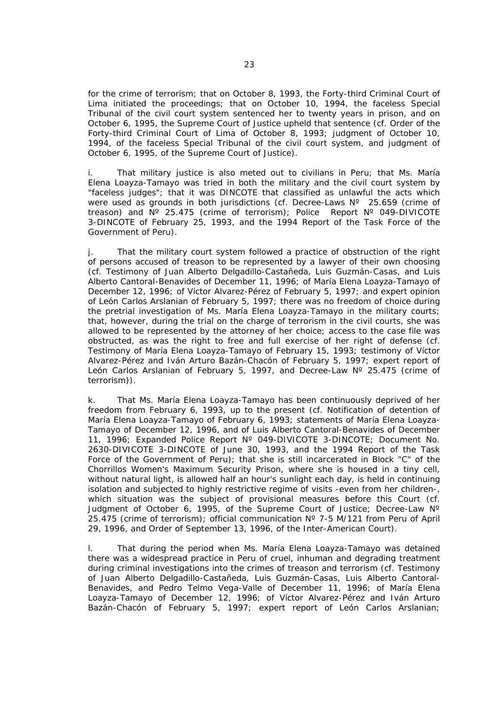for the crime of terrorism; that on October 8, 1993, the Forty-third Criminal Court of Lima initiated the proceedings; that on October 10, 1994, the faceless Special Tribunal of the civil court system sentenced her to twenty years in prison, and on October 6, 1995, the Supreme Court of Justice upheld that sentence (cf. Order of the Forty-third Criminal Court of Lima of October 8, 1993; judgment of October 10, 1994, of the faceless Special Tribunal of the civil court system, and judgment of October 6, 1995, of the Supreme Court of Justice).

i. That military justice is also meted out to civilians in Peru; that Ms. María Elena Loayza-Tamayo was tried in both the military and the civil court system by "faceless judges"; that it was DINCOTE that classified as unlawful the acts which were used as grounds in both jurisdictions (cf. Decree-Laws N° 25.659 (crime of treason) and Nº 25.475 (crime of terrorism); Police Report Nº 049-DIVICOTE 3-DINCOTE of February 25, 1993, and the 1994 Report of the Task Force of the Government of Peru).

j. That the military court system followed a practice of obstruction of the right of persons accused of treason to be represented by a lawyer of their own choosing (cf. Testimony of Juan Alberto Delgadillo-Castañeda, Luis Guzmán-Casas, and Luis Alberto Cantoral-Benavides of December 11, 1996; of María Elena Loayza-Tamayo of December 12, 1996; of Víctor Alvarez-Pérez of February 5, 1997; and expert opinion of León Carlos Arslanian of February 5, 1997; there was no freedom of choice during the pretrial investigation of Ms. María Elena Loayza-Tamayo in the military courts; that, however, during the trial on the charge of terrorism in the civil courts, she was allowed to be represented by the attorney of her choice; access to the case file was obstructed, as was the right to free and full exercise of her right of defense (cf. Testimony of María Elena Loayza-Tamayo of February 15, 1993; testimony of Víctor Alvarez-Pérez and Iván Arturo Bazán-Chacón of February 5, 1997; expert report of León Carlos Arslanian of February 5, 1997, and Decree-Law N° 25.475 (crime of terrorism)).

k. That Ms. María Elena Loayza-Tamayo has been continuously deprived of her freedom from February 6, 1993, up to the present (cf. Notification of detention of María Elena Loayza-Tamayo of February 6, 1993; statements of María Elena Loayza-Tamayo of December 12, 1996, and of Luis Alberto Cantoral-Benavides of December 11, 1996; Expanded Police Report Nº 049-DIVICOTE 3-DINCOTE; Document No. 2630-DIVICOTE 3-DINCOTE of June 30, 1993, and the 1994 Report of the Task Force of the Government of Peru); that she is still incarcerated in Block "C" of the Chorrillos Women's Maximum Security Prison, where she is housed in a tiny cell, without natural light, is allowed half an hour's sunlight each day, is held in continuing isolation and subjected to highly restrictive regime of visits -even from her children-, which situation was the subject of provisional measures before this Court (cf. Judgment of October 6, 1995, of the Supreme Court of Justice; Decree-Law Nº 25.475 (crime of terrorism); official communication Nº 7-5 M/121 from Peru of April 29, 1996, and Order of September 13, 1996, of the Inter-American Court).

l. That during the period when Ms. María Elena Loayza-Tamayo was detained there was a widespread practice in Peru of cruel, inhuman and degrading treatment during criminal investigations into the crimes of treason and terrorism (cf. Testimony of Juan Alberto Delgadillo-Castañeda, Luis Guzmán-Casas, Luis Alberto Cantoral-Benavides, and Pedro Telmo Vega-Valle of December 11, 1996; of María Elena Loayza-Tamayo of December 12, 1996; of Víctor Alvarez-Pérez and Iván Arturo Bazán-Chacón of February 5, 1997; expert report of León Carlos Arslanian;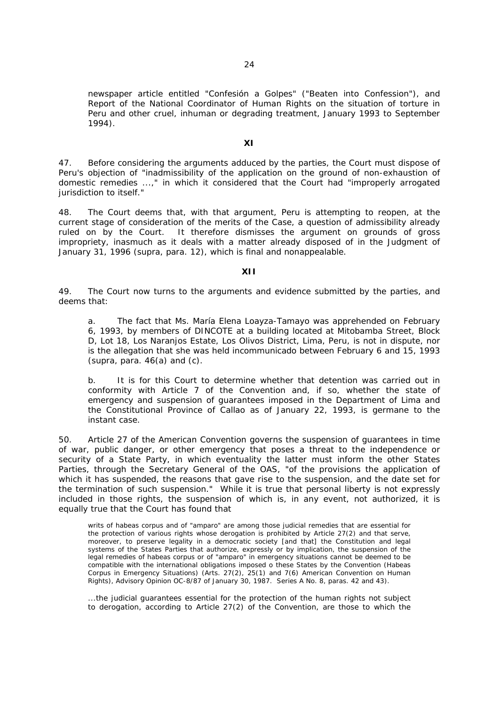newspaper article entitled *"Confesión a Golpes"* ("Beaten into Confession"), and Report of the National Coordinator of Human Rights on the situation of torture in Peru and other cruel, inhuman or degrading treatment, January 1993 to September 1994).

#### **XI**

47. Before considering the arguments adduced by the parties, the Court must dispose of Peru's objection of "*inadmissibility of the application on the ground of non-exhaustion of domestic remedies ...*," in which it considered that the Court had "*improperly arrogated jurisdiction to itself.*"

48. The Court deems that, with that argument, Peru is attempting to reopen, at the current stage of consideration of the merits of the Case, a question of admissibility already ruled on by the Court. It therefore dismisses the argument on grounds of gross impropriety, inasmuch as it deals with a matter already disposed of in the Judgment of January 31, 1996 (*supra,* para. 12), which is final and nonappealable.

## **XII**

49. The Court now turns to the arguments and evidence submitted by the parties, and deems that:

a. The fact that Ms. María Elena Loayza-Tamayo was apprehended on February 6, 1993, by members of DINCOTE at a building located at Mitobamba Street, Block D, Lot 18, Los Naranjos Estate, Los Olivos District, Lima, Peru, is not in dispute, nor is the allegation that she was held incommunicado between February 6 and 15, 1993 (*supra,* para. 46(a) and (c).

b. It is for this Court to determine whether that detention was carried out in conformity with Article 7 of the Convention and, if so, whether the state of emergency and suspension of guarantees imposed in the Department of Lima and the Constitutional Province of Callao as of January 22, 1993, is germane to the instant case.

50. Article 27 of the American Convention governs the suspension of guarantees in time of war, public danger, or other emergency that poses a threat to the independence or security of a State Party, in which eventuality the latter must inform the other States Parties, through the Secretary General of the OAS, "*of the provisions the application of which it has suspended, the reasons that gave rise to the suspension, and the date set for the termination of such suspension.*" While it is true that personal liberty is not expressly included in those rights, the suspension of which is, in any event, not authorized, it is equally true that the Court has found that

writs of habeas corpus and of "amparo" are among those judicial remedies that are essential for the protection of various rights whose derogation is prohibited by Article 27(2) and that serve, moreover, to preserve legality in a democratic society [and that] the Constitution and legal systems of the States Parties that authorize, expressly or by implication, the suspension of the legal remedies of habeas corpus or of "amparo" in emergency situations cannot be deemed to be compatible with the international obligations imposed o these States by the Convention *(Habeas Corpus in Emergency Situations) (Arts. 27(2), 25(1) and 7(6) American Convention on Human Rights*), Advisory Opinion OC-8/87 of January 30, 1987. Series A No. 8, paras. 42 and 43).

...the judicial guarantees essential for the protection of the human rights not subject to derogation, according to Article 27(2) of the Convention, are those to which the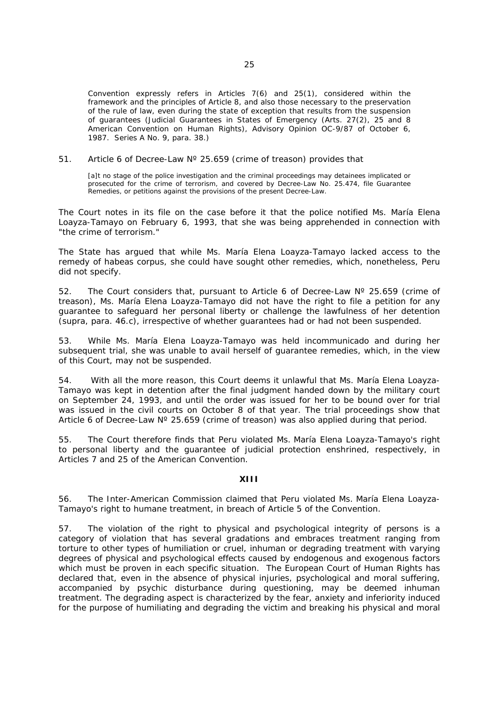Convention expressly refers in Articles 7(6) and 25(1), considered within the framework and the principles of Article 8, and also those necessary to the preservation of the rule of law, even during the state of exception that results from the suspension of guarantees (*Judicial Guarantees in States of Emergency (Arts. 27(2), 25 and 8 American Convention on Human Rights)*, Advisory Opinion OC-9/87 of October 6, 1987. Series A No. 9, para. 38.)

51. Article 6 of Decree-Law N° 25.659 (crime of treason) provides that

[a]t no stage of the police investigation and the criminal proceedings may detainees implicated or prosecuted for the crime of terrorism, and covered by Decree-Law No. 25.474, file Guarantee Remedies, or petitions against the provisions of the present Decree-Law.

The Court notes in its file on the case before it that the police notified Ms. María Elena Loayza-Tamayo on February 6, 1993, that she was being apprehended in connection with "*the crime of terrorism.*"

The State has argued that while Ms. María Elena Loayza-Tamayo lacked access to the remedy of habeas corpus, she could have sought other remedies, which, nonetheless, Peru did not specify.

52. The Court considers that, pursuant to Article 6 of Decree-Law  $N^{\circ}$  25.659 (crime of treason), Ms. María Elena Loayza-Tamayo did not have the right to file a petition for any guarantee to safeguard her personal liberty or challenge the lawfulness of her detention (*supra,* para. 46.c), irrespective of whether guarantees had or had not been suspended.

53. While Ms. María Elena Loayza-Tamayo was held incommunicado and during her subsequent trial, she was unable to avail herself of guarantee remedies, which, in the view of this Court, may not be suspended.

54. With all the more reason, this Court deems it unlawful that Ms. María Elena Loayza-Tamayo was kept in detention after the final judgment handed down by the military court on September 24, 1993, and until the order was issued for her to be bound over for trial was issued in the civil courts on October 8 of that year. The trial proceedings show that Article 6 of Decree-Law N° 25.659 (crime of treason) was also applied during that period.

55. The Court therefore finds that Peru violated Ms. María Elena Loayza-Tamayo's right to personal liberty and the guarantee of judicial protection enshrined, respectively, in Articles 7 and 25 of the American Convention.

## **XIII**

56. The Inter-American Commission claimed that Peru violated Ms. María Elena Loayza-Tamayo's right to humane treatment, in breach of Article 5 of the Convention.

57. The violation of the right to physical and psychological integrity of persons is a category of violation that has several gradations and embraces treatment ranging from torture to other types of humiliation or cruel, inhuman or degrading treatment with varying degrees of physical and psychological effects caused by endogenous and exogenous factors which must be proven in each specific situation. The European Court of Human Rights has declared that, even in the absence of physical injuries, psychological and moral suffering, accompanied by psychic disturbance during questioning, may be deemed inhuman treatment. The degrading aspect is characterized by the fear, anxiety and inferiority induced for the purpose of humiliating and degrading the victim and breaking his physical and moral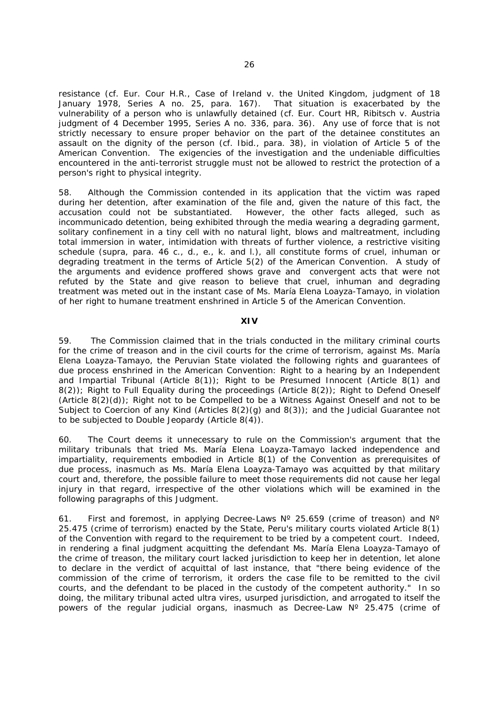resistance (cf. Eur. Cour H.R., *Case of Ireland v. the United Kingdom,* judgment of 18 January 1978, Series A no. 25, para. 167). That situation is exacerbated by the vulnerability of a person who is unlawfully detained (cf. Eur. Court HR, *Ribitsch v. Austria judgment of 4 December 1995,* Series A no. 336, para. 36). Any use of force that is not strictly necessary to ensure proper behavior on the part of the detainee constitutes an assault on the dignity of the person (cf. *Ibid.,* para. 38), in violation of Article 5 of the American Convention. The exigencies of the investigation and the undeniable difficulties encountered in the anti-terrorist struggle must not be allowed to restrict the protection of a person's right to physical integrity.

58. Although the Commission contended in its application that the victim was raped during her detention, after examination of the file and, given the nature of this fact, the accusation could not be substantiated. However, the other facts alleged, such as incommunicado detention, being exhibited through the media wearing a degrading garment, solitary confinement in a tiny cell with no natural light, blows and maltreatment, including total immersion in water, intimidation with threats of further violence, a restrictive visiting schedule (*supra,* para. 46 c., d., e., k. and l.), all constitute forms of cruel, inhuman or degrading treatment in the terms of Article 5(2) of the American Convention. A study of the arguments and evidence proffered shows grave and convergent acts that were not refuted by the State and give reason to believe that cruel, inhuman and degrading treatment was meted out in the instant case of Ms. María Elena Loayza-Tamayo, in violation of her right to humane treatment enshrined in Article 5 of the American Convention.

## **XIV**

59. The Commission claimed that in the trials conducted in the military criminal courts for the crime of treason and in the civil courts for the crime of terrorism, against Ms. María Elena Loayza-Tamayo, the Peruvian State violated the following rights and guarantees of due process enshrined in the American Convention: Right to a hearing by an Independent and Impartial Tribunal (Article 8(1)); Right to be Presumed Innocent (Article 8(1) and 8(2)); Right to Full Equality during the proceedings (Article 8(2)); Right to Defend Oneself  $(Aritile 8(2)(d))$ ; Right not to be Compelled to be a Witness Against Oneself and not to be Subject to Coercion of any Kind (Articles 8(2)(g) and 8(3)); and the Judicial Guarantee not to be subjected to Double Jeopardy (Article 8(4)).

60. The Court deems it unnecessary to rule on the Commission's argument that the military tribunals that tried Ms. María Elena Loayza-Tamayo lacked independence and impartiality, requirements embodied in Article 8(1) of the Convention as prerequisites of due process, inasmuch as Ms. María Elena Loayza-Tamayo was acquitted by that military court and, therefore, the possible failure to meet those requirements did not cause her legal injury in that regard, irrespective of the other violations which will be examined in the following paragraphs of this Judgment.

61. First and foremost, in applying Decree-Laws  $N^{\circ}$  25.659 (crime of treason) and  $N^{\circ}$ 25.475 (crime of terrorism) enacted by the State, Peru's military courts violated Article 8(1) of the Convention with regard to the requirement to be tried by a competent court. Indeed, in rendering a final judgment acquitting the defendant Ms. María Elena Loayza-Tamayo of the crime of treason, the military court lacked jurisdiction to keep her in detention, let alone to declare in the verdict of acquittal of last instance, that "*there being evidence of the commission of the crime of terrorism, it orders the case file to be remitted to the civil courts, and the defendant to be placed in the custody of the competent authority.*" In so doing, the military tribunal acted *ultra vires*, usurped jurisdiction, and arrogated to itself the powers of the regular judicial organs, inasmuch as Decree-Law Nº 25.475 (crime of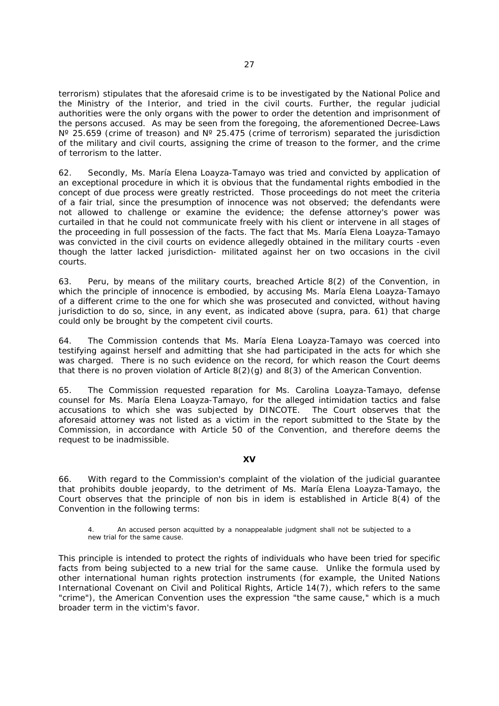terrorism) stipulates that the aforesaid crime is to be investigated by the National Police and the Ministry of the Interior, and tried in the civil courts. Further, the regular judicial authorities were the only organs with the power to order the detention and imprisonment of the persons accused. As may be seen from the foregoing, the aforementioned Decree-Laws N° 25.659 (crime of treason) and N° 25.475 (crime of terrorism) separated the jurisdiction of the military and civil courts, assigning the crime of treason to the former, and the crime of terrorism to the latter.

62. Secondly, Ms. María Elena Loayza-Tamayo was tried and convicted by application of an exceptional procedure in which it is obvious that the fundamental rights embodied in the concept of due process were greatly restricted. Those proceedings do not meet the criteria of a fair trial, since the presumption of innocence was not observed; the defendants were not allowed to challenge or examine the evidence; the defense attorney's power was curtailed in that he could not communicate freely with his client or intervene in all stages of the proceeding in full possession of the facts. The fact that Ms. María Elena Loayza-Tamayo was convicted in the civil courts on evidence allegedly obtained in the military courts -even though the latter lacked jurisdiction- militated against her on two occasions in the civil courts.

63. Peru, by means of the military courts, breached Article 8(2) of the Convention, in which the principle of innocence is embodied, by accusing Ms. María Elena Loayza-Tamayo of a different crime to the one for which she was prosecuted and convicted, without having jurisdiction to do so, since, in any event, as indicated above (*supra,* para. 61) that charge could only be brought by the competent civil courts.

64. The Commission contends that Ms. María Elena Loayza-Tamayo was coerced into testifying against herself and admitting that she had participated in the acts for which she was charged. There is no such evidence on the record, for which reason the Court deems that there is no proven violation of Article 8(2)(g) and 8(3) of the American Convention.

65. The Commission requested reparation for Ms. Carolina Loayza-Tamayo, defense counsel for Ms. María Elena Loayza-Tamayo, for the alleged intimidation tactics and false accusations to which she was subjected by DINCOTE. The Court observes that the aforesaid attorney was not listed as a victim in the report submitted to the State by the Commission, in accordance with Article 50 of the Convention, and therefore deems the request to be inadmissible.

#### **XV**

66. With regard to the Commission's complaint of the violation of the judicial guarantee that prohibits double jeopardy, to the detriment of Ms. María Elena Loayza-Tamayo, the Court observes that the principle of *non bis in idem* is established in Article 8(4) of the Convention in the following terms:

4. An accused person acquitted by a nonappealable judgment shall not be subjected to a new trial for the same cause.

This principle is intended to protect the rights of individuals who have been tried for specific facts from being subjected to a new trial for the same cause. Unlike the formula used by other international human rights protection instruments (for example, the United Nations International Covenant on Civil and Political Rights, Article 14(7), which refers to the same "crime"), the American Convention uses the expression "*the same cause,*" which is a much broader term in the victim's favor.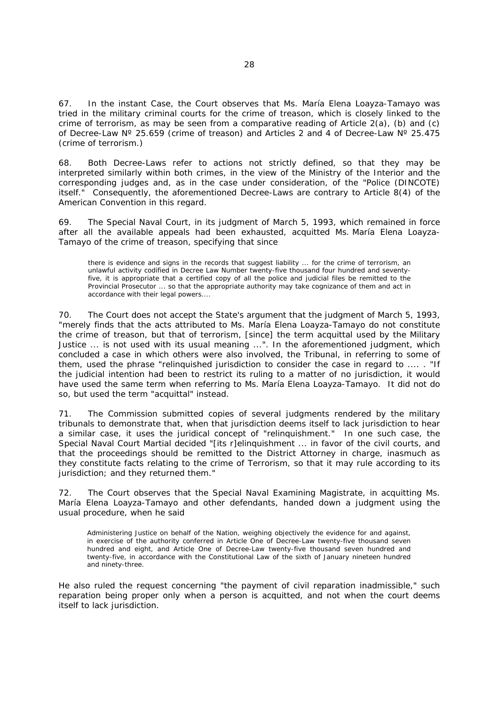67. In the instant Case, the Court observes that Ms. María Elena Loayza-Tamayo was tried in the military criminal courts for the crime of treason, which is closely linked to the crime of terrorism, as may be seen from a comparative reading of Article  $2(a)$ , (b) and (c) of Decree-Law Nº 25.659 (crime of treason) and Articles 2 and 4 of Decree-Law Nº 25.475 (crime of terrorism.)

68. Both Decree-Laws refer to actions not strictly defined, so that they may be interpreted similarly within both crimes, in the view of the Ministry of the Interior and the corresponding judges and, as in the case under consideration, of the "*Police (DINCOTE) itself.*" Consequently, the aforementioned Decree-Laws are contrary to Article 8(4) of the American Convention in this regard.

69. The Special Naval Court, in its judgment of March 5, 1993, which remained in force after all the available appeals had been exhausted, acquitted Ms. María Elena Loayza-Tamayo of the crime of treason, specifying that since

there is evidence and signs in the records that suggest liability ... for the crime of terrorism, an unlawful activity codified in Decree Law Number twenty-five thousand four hundred and seventyfive, it is appropriate that a certified copy of all the police and judicial files be remitted to the Provincial Prosecutor ... so that the appropriate authority may take cognizance of them and act in accordance with their legal powers....

70. The Court does not accept the State's argument that the judgment of March 5, 1993, "*merely finds that the acts attributed to Ms. María Elena Loayza-Tamayo do not constitute the crime of treason, but that of terrorism,* [since] *the term acquittal used by the Military Justice ... is not used with its usual meaning* ...". In the aforementioned judgment, which concluded a case in which others were also involved, the Tribunal, in referring to some of them, used the phrase "*relinquished jurisdiction to consider the case in regard to ....* . "If the judicial intention had been to restrict its ruling to a matter of no jurisdiction, it would have used the same term when referring to Ms. María Elena Loayza-Tamayo. It did not do so, but used the term "*acquittal*" instead.

71. The Commission submitted copies of several judgments rendered by the military tribunals to demonstrate that, when that jurisdiction deems itself to lack jurisdiction to hear a similar case, it uses the juridical concept of "*relinquishment.*" In one such case, the Special Naval Court Martial decided "[its r]*elinquishment ... in favor of the civil courts, and that the proceedings should be remitted to the District Attorney in charge, inasmuch as they constitute facts relating to the crime of Terrorism, so that it may rule according to its jurisdiction; and they returned them.*"

72. The Court observes that the Special Naval Examining Magistrate, in acquitting Ms. María Elena Loayza-Tamayo and other defendants, handed down a judgment using the usual procedure, when he said

Administering Justice on behalf of the Nation, weighing objectively the evidence for and against, in exercise of the authority conferred in Article One of Decree-Law twenty-five thousand seven hundred and eight, and Article One of Decree-Law twenty-five thousand seven hundred and twenty-five, in accordance with the Constitutional Law of the sixth of January nineteen hundred and ninety-three.

He also ruled the request concerning "*the payment of civil reparation inadmissible,*" such reparation being proper only when a person is acquitted, and not when the court deems itself to lack jurisdiction.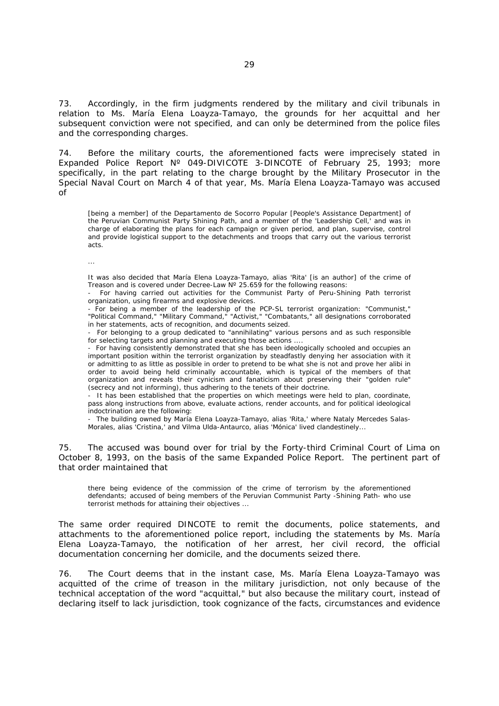73. Accordingly, in the firm judgments rendered by the military and civil tribunals in relation to Ms. María Elena Loayza-Tamayo, the grounds for her acquittal and her subsequent conviction were not specified, and can only be determined from the police files and the corresponding charges.

74. Before the military courts, the aforementioned facts were imprecisely stated in Expanded Police Report N° 049-DIVICOTE 3-DINCOTE of February 25, 1993; more specifically, in the part relating to the charge brought by the Military Prosecutor in the Special Naval Court on March 4 of that year, Ms. María Elena Loayza-Tamayo was accused of

[being a member] of the Departamento de Socorro Popular [People's Assistance Department] of the Peruvian Communist Party Shining Path, and a member of the 'Leadership Cell,' and was in charge of elaborating the plans for each campaign or given period, and plan, supervise, control and provide logistical support to the detachments and troops that carry out the various terrorist acts.

...

It was also decided that María Elena Loayza-Tamayo, alias 'Rita' [is an author] of the crime of Treason and is covered under Decree-Law  $N^{\circ}$  25.659 for the following reasons:

- For having carried out activities for the Communist Party of Peru-Shining Path terrorist organization, using firearms and explosive devices.

- For being a member of the leadership of the PCP-SL terrorist organization: "Communist," "Political Command," "Military Command," "Activist," "Combatants," all designations corroborated in her statements, acts of recognition, and documents seized.

- For belonging to a group dedicated to "annihilating" various persons and as such responsible for selecting targets and planning and executing those actions ....

- For having consistently demonstrated that she has been ideologically schooled and occupies an important position within the terrorist organization by steadfastly denying her association with it or admitting to as little as possible in order to pretend to be what she is not and prove her alibi in order to avoid being held criminally accountable, which is typical of the members of that organization and reveals their cynicism and fanaticism about preserving their "golden rule" (secrecy and not informing), thus adhering to the tenets of their doctrine.

- It has been established that the properties on which meetings were held to plan, coordinate, pass along instructions from above, evaluate actions, render accounts, and for political ideological indoctrination are the following:

- The building owned by María Elena Loayza-Tamayo, alias 'Rita,' where Nataly Mercedes Salas-Morales, alias 'Cristina,' and Vilma Ulda-Antaurco, alias 'Mónica' lived clandestinely...

75. The accused was bound over for trial by the Forty-third Criminal Court of Lima on October 8, 1993, on the basis of the same Expanded Police Report. The pertinent part of that order maintained that

 there being evidence of the commission of the crime of terrorism by the aforementioned defendants; accused of being members of the Peruvian Communist Party -Shining Path- who use terrorist methods for attaining their objectives ...

The same order required DINCOTE to remit the documents, police statements, and attachments to the aforementioned police report, including the statements by Ms. María Elena Loayza-Tamayo, the notification of her arrest, her civil record, the official documentation concerning her domicile, and the documents seized there.

76. The Court deems that in the instant case, Ms. María Elena Loayza-Tamayo was acquitted of the crime of treason in the military jurisdiction, not only because of the technical acceptation of the word "acquittal," but also because the military court, instead of declaring itself to lack jurisdiction, took cognizance of the facts, circumstances and evidence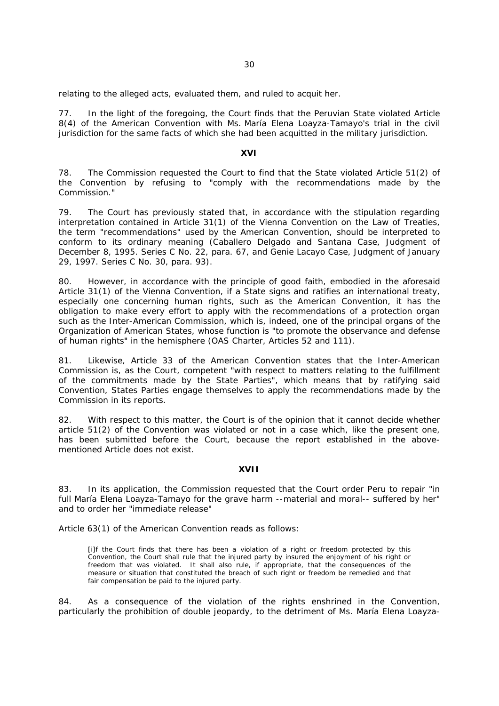relating to the alleged acts, evaluated them, and ruled to acquit her.

77. In the light of the foregoing, the Court finds that the Peruvian State violated Article 8(4) of the American Convention with Ms. María Elena Loayza-Tamayo's trial in the civil jurisdiction for the same facts of which she had been acquitted in the military jurisdiction.

### **XVI**

78. The Commission requested the Court to find that the State violated Article 51(2) of the Convention by refusing to "*comply with the recommendations made by the Commission.*"

79. The Court has previously stated that, in accordance with the stipulation regarding interpretation contained in Article 31(1) of the Vienna Convention on the Law of Treaties, the term "*recommendations*" used by the American Convention, should be interpreted to conform to its ordinary meaning (*Caballero Delgado and Santana Case*, Judgment of December 8, 1995. Series C No. 22, para. 67, and *Genie Lacayo Case,* Judgment of January 29, 1997. Series C No. 30, para. 93).

80. However, in accordance with the principle of good faith, embodied in the aforesaid Article 31(1) of the Vienna Convention, if a State signs and ratifies an international treaty, especially one concerning human rights, such as the American Convention, it has the obligation to make every effort to apply with the recommendations of a protection organ such as the Inter-American Commission, which is, indeed, one of the principal organs of the Organization of American States, whose function is "*to promote the observance and defense of human rights*" in the hemisphere (OAS Charter, Articles 52 and 111).

81. Likewise, Article 33 of the American Convention states that the Inter-American Commission is, as the Court, competent "*with respect to matters relating to the fulfillment of the commitments made by the State Parties*", which means that by ratifying said Convention, States Parties engage themselves to apply the recommendations made by the Commission in its reports.

82. With respect to this matter, the Court is of the opinion that it cannot decide whether article 51(2) of the Convention was violated or not in a case which, like the present one, has been submitted before the Court, because the report established in the abovementioned Article does not exist.

#### **XVII**

83. In its application, the Commission requested that the Court order Peru to repair "*in full María Elena Loayza-Tamayo for the grave harm --material and moral-- suffered by her*" and to order her "*immediate release*"

Article 63(1) of the American Convention reads as follows:

[i]f the Court finds that there has been a violation of a right or freedom protected by this Convention, the Court shall rule that the injured party by insured the enjoyment of his right or freedom that was violated. It shall also rule, if appropriate, that the consequences of the measure or situation that constituted the breach of such right or freedom be remedied and that fair compensation be paid to the injured party.

84. As a consequence of the violation of the rights enshrined in the Convention, particularly the prohibition of double jeopardy, to the detriment of Ms. María Elena Loayza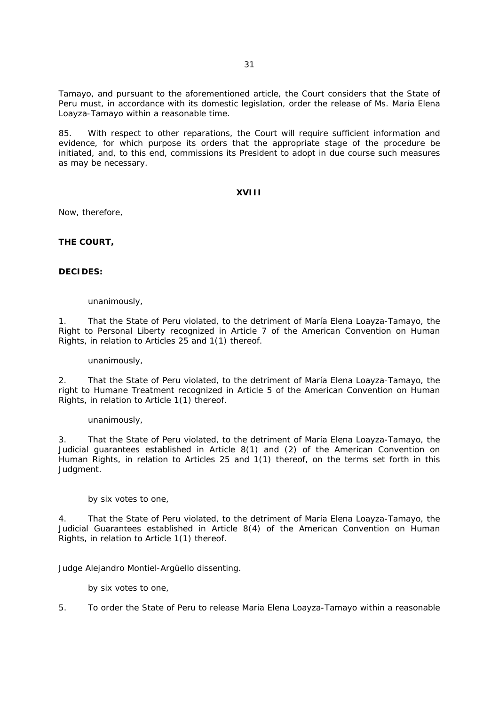Tamayo, and pursuant to the aforementioned article, the Court considers that the State of Peru must, in accordance with its domestic legislation, order the release of Ms. María Elena Loayza-Tamayo within a reasonable time.

85. With respect to other reparations, the Court will require sufficient information and evidence, for which purpose its orders that the appropriate stage of the procedure be initiated, and, to this end, commissions its President to adopt in due course such measures as may be necessary.

## **XVIII**

Now, therefore,

**THE COURT,** 

## **DECIDES:**

### unanimously,

1. That the State of Peru violated, to the detriment of María Elena Loayza-Tamayo, the Right to Personal Liberty recognized in Article 7 of the American Convention on Human Rights, in relation to Articles 25 and 1(1) thereof.

## unanimously,

2. That the State of Peru violated, to the detriment of María Elena Loayza-Tamayo, the right to Humane Treatment recognized in Article 5 of the American Convention on Human Rights, in relation to Article 1(1) thereof.

## unanimously,

3. That the State of Peru violated, to the detriment of María Elena Loayza-Tamayo, the Judicial guarantees established in Article 8(1) and (2) of the American Convention on Human Rights, in relation to Articles 25 and 1(1) thereof, on the terms set forth in this Judgment.

## by six votes to one,

4. That the State of Peru violated, to the detriment of María Elena Loayza-Tamayo, the Judicial Guarantees established in Article 8(4) of the American Convention on Human Rights, in relation to Article 1(1) thereof.

Judge Alejandro Montiel-Argüello dissenting.

by six votes to one,

5. To order the State of Peru to release María Elena Loayza-Tamayo within a reasonable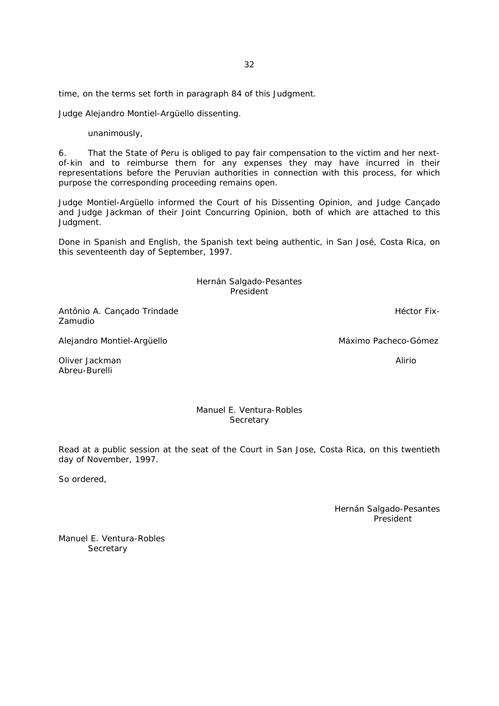time, on the terms set forth in paragraph 84 of this Judgment.

Judge Alejandro Montiel-Argüello dissenting.

unanimously,

6. That the State of Peru is obliged to pay fair compensation to the victim and her nextof-kin and to reimburse them for any expenses they may have incurred in their representations before the Peruvian authorities in connection with this process, for which purpose the corresponding proceeding remains open.

Judge Montiel-Argüello informed the Court of his Dissenting Opinion, and Judge Cançado and Judge Jackman of their Joint Concurring Opinion, both of which are attached to this Judgment.

Done in Spanish and English, the Spanish text being authentic, in San José, Costa Rica, on this seventeenth day of September, 1997.

> Hernán Salgado-Pesantes President

Antônio A. Cancado Trindade **Hector Fix-** Héctor Fix-Zamudio

Alejandro Montiel-Argüello **Máximo Pacheco-Gómez** Máximo Pacheco-Gómez

Oliver Jackman Alirio Abreu-Burelli

# Manuel E. Ventura-Robles **Secretary**

Read at a public session at the seat of the Court in San Jose, Costa Rica, on this twentieth day of November, 1997.

So ordered,

Hernán Salgado-Pesantes President

Manuel E. Ventura-Robles **Secretary**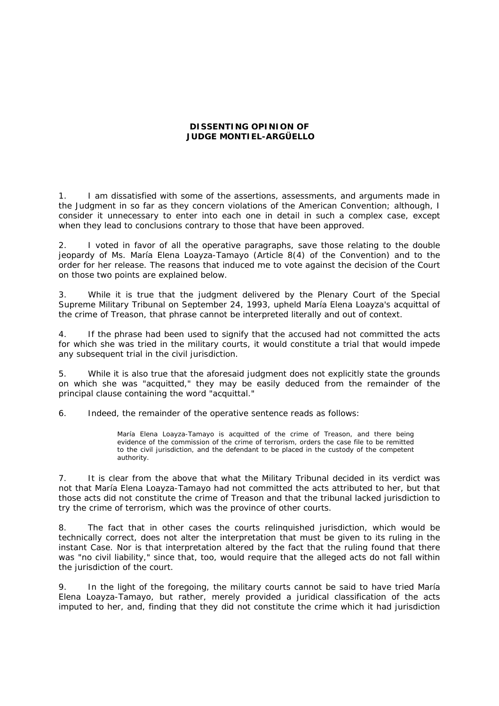# **DISSENTING OPINION OF JUDGE MONTIEL-ARGÜELLO**

1. I am dissatisfied with some of the assertions, assessments, and arguments made in the Judgment in so far as they concern violations of the American Convention; although, I consider it unnecessary to enter into each one in detail in such a complex case, except when they lead to conclusions contrary to those that have been approved.

2. I voted in favor of all the operative paragraphs, save those relating to the double jeopardy of Ms. María Elena Loayza-Tamayo (Article 8(4) of the Convention) and to the order for her release. The reasons that induced me to vote against the decision of the Court on those two points are explained below.

3. While it is true that the judgment delivered by the Plenary Court of the Special Supreme Military Tribunal on September 24, 1993, upheld María Elena Loayza's acquittal of the crime of Treason, that phrase cannot be interpreted literally and out of context.

4. If the phrase had been used to signify that the accused had not committed the acts for which she was tried in the military courts, it would constitute a trial that would impede any subsequent trial in the civil jurisdiction.

5. While it is also true that the aforesaid judgment does not explicitly state the grounds on which she was "acquitted," they may be easily deduced from the remainder of the principal clause containing the word "acquittal."

6. Indeed, the remainder of the operative sentence reads as follows:

María Elena Loayza-Tamayo is acquitted of the crime of Treason, and there being evidence of the commission of the crime of terrorism, orders the case file to be remitted to the civil jurisdiction, and the defendant to be placed in the custody of the competent authority.

7. It is clear from the above that what the Military Tribunal decided in its verdict was not that María Elena Loayza-Tamayo had not committed the acts attributed to her, but that those acts did not constitute the crime of Treason and that the tribunal lacked jurisdiction to try the crime of terrorism, which was the province of other courts.

8. The fact that in other cases the courts relinquished jurisdiction, which would be technically correct, does not alter the interpretation that must be given to its ruling in the instant Case. Nor is that interpretation altered by the fact that the ruling found that there was "no civil liability," since that, too, would require that the alleged acts do not fall within the jurisdiction of the court.

9. In the light of the foregoing, the military courts cannot be said to have tried María Elena Loayza-Tamayo, but rather, merely provided a juridical classification of the acts imputed to her, and, finding that they did not constitute the crime which it had jurisdiction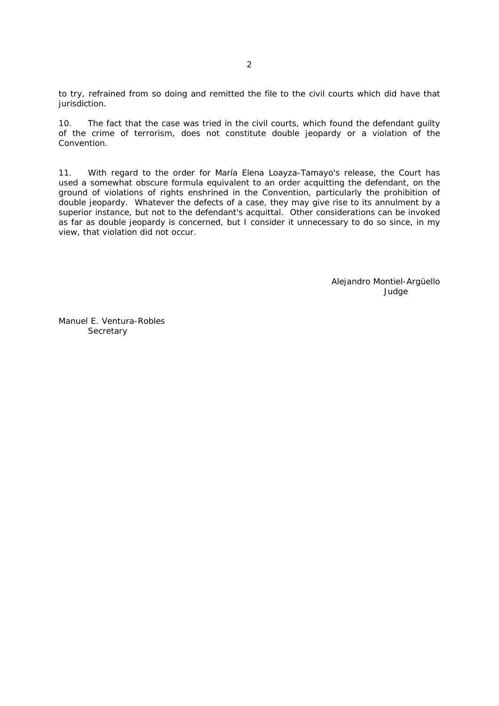to try, refrained from so doing and remitted the file to the civil courts which did have that jurisdiction.

10. The fact that the case was tried in the civil courts, which found the defendant guilty of the crime of terrorism, does not constitute double jeopardy or a violation of the Convention.

11. With regard to the order for María Elena Loayza-Tamayo's release, the Court has used a somewhat obscure formula equivalent to an order acquitting the defendant, on the ground of violations of rights enshrined in the Convention, particularly the prohibition of double jeopardy. Whatever the defects of a case, they may give rise to its annulment by a superior instance, but not to the defendant's acquittal. Other considerations can be invoked as far as double jeopardy is concerned, but I consider it unnecessary to do so since, in my view, that violation did not occur.

> Alejandro Montiel-Argüello Judge

Manuel E. Ventura-Robles **Secretary**